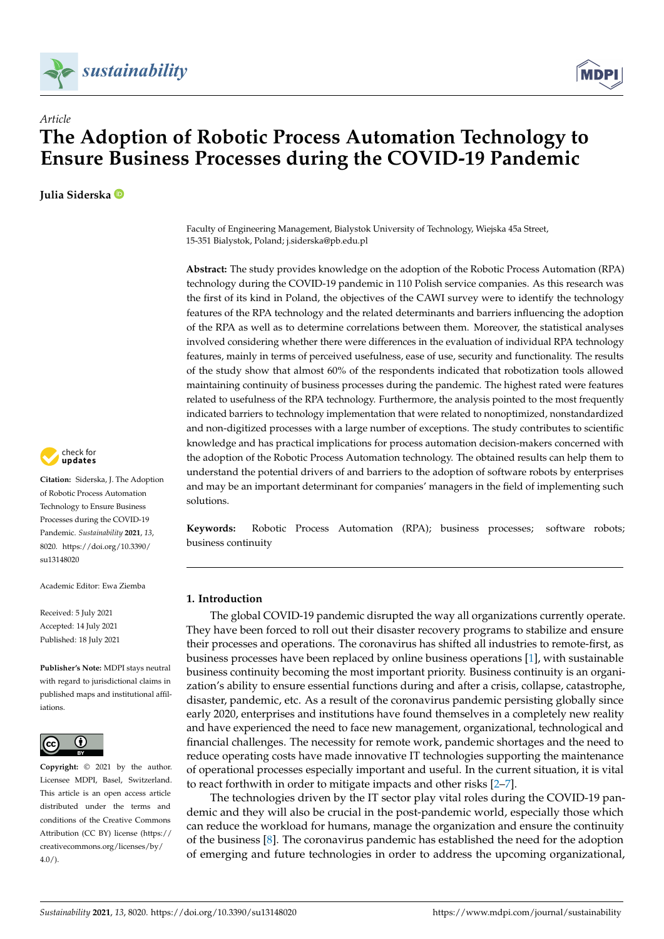



# *Article* **The Adoption of Robotic Process Automation Technology to Ensure Business Processes during the COVID-19 Pandemic**

**Julia Siderska**



**Citation:** Siderska, J. The Adoption of Robotic Process Automation Technology to Ensure Business Processes during the COVID-19 Pandemic. *Sustainability* **2021**, *13*, 8020. [https://doi.org/10.3390/](https://doi.org/10.3390/su13148020) [su13148020](https://doi.org/10.3390/su13148020)

Academic Editor: Ewa Ziemba

Received: 5 July 2021 Accepted: 14 July 2021 Published: 18 July 2021

**Publisher's Note:** MDPI stays neutral with regard to jurisdictional claims in published maps and institutional affiliations.



**Copyright:** © 2021 by the author. Licensee MDPI, Basel, Switzerland. This article is an open access article distributed under the terms and conditions of the Creative Commons Attribution (CC BY) license (https:/[/](https://creativecommons.org/licenses/by/4.0/) [creativecommons.org/licenses/by/](https://creativecommons.org/licenses/by/4.0/)  $4.0/$ ).

Faculty of Engineering Management, Bialystok University of Technology, Wiejska 45a Street, 15-351 Bialystok, Poland; j.siderska@pb.edu.pl

**Abstract:** The study provides knowledge on the adoption of the Robotic Process Automation (RPA) technology during the COVID-19 pandemic in 110 Polish service companies. As this research was the first of its kind in Poland, the objectives of the CAWI survey were to identify the technology features of the RPA technology and the related determinants and barriers influencing the adoption of the RPA as well as to determine correlations between them. Moreover, the statistical analyses involved considering whether there were differences in the evaluation of individual RPA technology features, mainly in terms of perceived usefulness, ease of use, security and functionality. The results of the study show that almost 60% of the respondents indicated that robotization tools allowed maintaining continuity of business processes during the pandemic. The highest rated were features related to usefulness of the RPA technology. Furthermore, the analysis pointed to the most frequently indicated barriers to technology implementation that were related to nonoptimized, nonstandardized and non-digitized processes with a large number of exceptions. The study contributes to scientific knowledge and has practical implications for process automation decision-makers concerned with the adoption of the Robotic Process Automation technology. The obtained results can help them to understand the potential drivers of and barriers to the adoption of software robots by enterprises and may be an important determinant for companies' managers in the field of implementing such solutions.

**Keywords:** Robotic Process Automation (RPA); business processes; software robots; business continuity

## **1. Introduction**

The global COVID-19 pandemic disrupted the way all organizations currently operate. They have been forced to roll out their disaster recovery programs to stabilize and ensure their processes and operations. The coronavirus has shifted all industries to remote-first, as business processes have been replaced by online business operations [\[1\]](#page-17-0), with sustainable business continuity becoming the most important priority. Business continuity is an organization's ability to ensure essential functions during and after a crisis, collapse, catastrophe, disaster, pandemic, etc. As a result of the coronavirus pandemic persisting globally since early 2020, enterprises and institutions have found themselves in a completely new reality and have experienced the need to face new management, organizational, technological and financial challenges. The necessity for remote work, pandemic shortages and the need to reduce operating costs have made innovative IT technologies supporting the maintenance of operational processes especially important and useful. In the current situation, it is vital to react forthwith in order to mitigate impacts and other risks [\[2](#page-17-1)[–7\]](#page-17-2).

The technologies driven by the IT sector play vital roles during the COVID-19 pandemic and they will also be crucial in the post-pandemic world, especially those which can reduce the workload for humans, manage the organization and ensure the continuity of the business  $[8]$ . The coronavirus pandemic has established the need for the adoption of emerging and future technologies in order to address the upcoming organizational,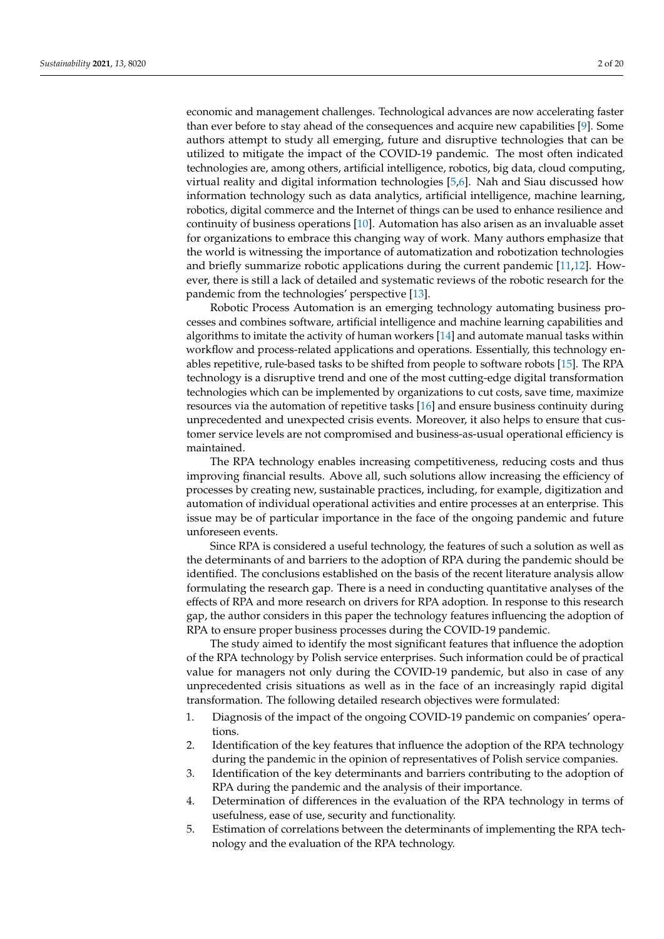economic and management challenges. Technological advances are now accelerating faster than ever before to stay ahead of the consequences and acquire new capabilities [\[9\]](#page-17-4). Some authors attempt to study all emerging, future and disruptive technologies that can be utilized to mitigate the impact of the COVID-19 pandemic. The most often indicated technologies are, among others, artificial intelligence, robotics, big data, cloud computing, virtual reality and digital information technologies [\[5,](#page-17-5)[6\]](#page-17-6). Nah and Siau discussed how information technology such as data analytics, artificial intelligence, machine learning, robotics, digital commerce and the Internet of things can be used to enhance resilience and continuity of business operations [\[10\]](#page-17-7). Automation has also arisen as an invaluable asset for organizations to embrace this changing way of work. Many authors emphasize that the world is witnessing the importance of automatization and robotization technologies and briefly summarize robotic applications during the current pandemic [\[11,](#page-17-8)[12\]](#page-17-9). However, there is still a lack of detailed and systematic reviews of the robotic research for the pandemic from the technologies' perspective [\[13\]](#page-17-10).

Robotic Process Automation is an emerging technology automating business processes and combines software, artificial intelligence and machine learning capabilities and algorithms to imitate the activity of human workers [\[14\]](#page-17-11) and automate manual tasks within workflow and process-related applications and operations. Essentially, this technology enables repetitive, rule-based tasks to be shifted from people to software robots [\[15\]](#page-17-12). The RPA technology is a disruptive trend and one of the most cutting-edge digital transformation technologies which can be implemented by organizations to cut costs, save time, maximize resources via the automation of repetitive tasks [\[16\]](#page-17-13) and ensure business continuity during unprecedented and unexpected crisis events. Moreover, it also helps to ensure that customer service levels are not compromised and business-as-usual operational efficiency is maintained.

The RPA technology enables increasing competitiveness, reducing costs and thus improving financial results. Above all, such solutions allow increasing the efficiency of processes by creating new, sustainable practices, including, for example, digitization and automation of individual operational activities and entire processes at an enterprise. This issue may be of particular importance in the face of the ongoing pandemic and future unforeseen events.

Since RPA is considered a useful technology, the features of such a solution as well as the determinants of and barriers to the adoption of RPA during the pandemic should be identified. The conclusions established on the basis of the recent literature analysis allow formulating the research gap. There is a need in conducting quantitative analyses of the effects of RPA and more research on drivers for RPA adoption. In response to this research gap, the author considers in this paper the technology features influencing the adoption of RPA to ensure proper business processes during the COVID-19 pandemic.

The study aimed to identify the most significant features that influence the adoption of the RPA technology by Polish service enterprises. Such information could be of practical value for managers not only during the COVID-19 pandemic, but also in case of any unprecedented crisis situations as well as in the face of an increasingly rapid digital transformation. The following detailed research objectives were formulated:

- 1. Diagnosis of the impact of the ongoing COVID-19 pandemic on companies' operations.
- 2. Identification of the key features that influence the adoption of the RPA technology during the pandemic in the opinion of representatives of Polish service companies.
- 3. Identification of the key determinants and barriers contributing to the adoption of RPA during the pandemic and the analysis of their importance.
- 4. Determination of differences in the evaluation of the RPA technology in terms of usefulness, ease of use, security and functionality.
- 5. Estimation of correlations between the determinants of implementing the RPA technology and the evaluation of the RPA technology.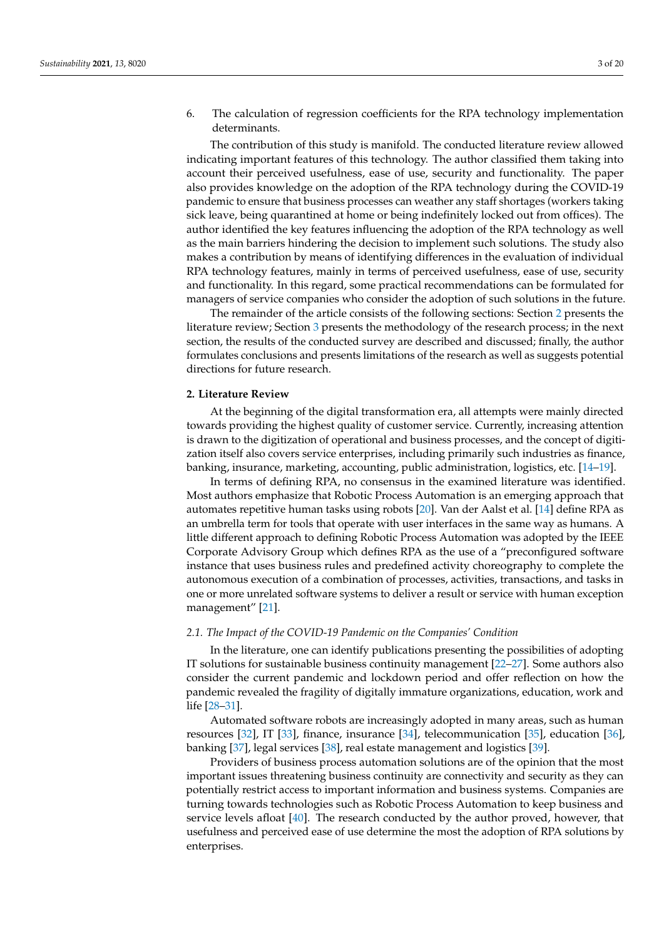6. The calculation of regression coefficients for the RPA technology implementation determinants.

The contribution of this study is manifold. The conducted literature review allowed indicating important features of this technology. The author classified them taking into account their perceived usefulness, ease of use, security and functionality. The paper also provides knowledge on the adoption of the RPA technology during the COVID-19 pandemic to ensure that business processes can weather any staff shortages (workers taking sick leave, being quarantined at home or being indefinitely locked out from offices). The author identified the key features influencing the adoption of the RPA technology as well as the main barriers hindering the decision to implement such solutions. The study also makes a contribution by means of identifying differences in the evaluation of individual RPA technology features, mainly in terms of perceived usefulness, ease of use, security and functionality. In this regard, some practical recommendations can be formulated for managers of service companies who consider the adoption of such solutions in the future.

The remainder of the article consists of the following sections: Section [2](#page-2-0) presents the literature review; Section [3](#page-5-0) presents the methodology of the research process; in the next section, the results of the conducted survey are described and discussed; finally, the author formulates conclusions and presents limitations of the research as well as suggests potential directions for future research.

## <span id="page-2-0"></span>**2. Literature Review**

At the beginning of the digital transformation era, all attempts were mainly directed towards providing the highest quality of customer service. Currently, increasing attention is drawn to the digitization of operational and business processes, and the concept of digitization itself also covers service enterprises, including primarily such industries as finance, banking, insurance, marketing, accounting, public administration, logistics, etc. [\[14](#page-17-11)[–19\]](#page-17-14).

In terms of defining RPA, no consensus in the examined literature was identified. Most authors emphasize that Robotic Process Automation is an emerging approach that automates repetitive human tasks using robots [\[20\]](#page-17-15). Van der Aalst et al. [\[14\]](#page-17-11) define RPA as an umbrella term for tools that operate with user interfaces in the same way as humans. A little different approach to defining Robotic Process Automation was adopted by the IEEE Corporate Advisory Group which defines RPA as the use of a "preconfigured software instance that uses business rules and predefined activity choreography to complete the autonomous execution of a combination of processes, activities, transactions, and tasks in one or more unrelated software systems to deliver a result or service with human exception management" [\[21\]](#page-17-16).

## *2.1. The Impact of the COVID-19 Pandemic on the Companies' Condition*

In the literature, one can identify publications presenting the possibilities of adopting IT solutions for sustainable business continuity management [\[22–](#page-17-17)[27\]](#page-17-18). Some authors also consider the current pandemic and lockdown period and offer reflection on how the pandemic revealed the fragility of digitally immature organizations, education, work and life [\[28–](#page-18-0)[31\]](#page-18-1).

Automated software robots are increasingly adopted in many areas, such as human resources [\[32\]](#page-18-2), IT [\[33\]](#page-18-3), finance, insurance [\[34\]](#page-18-4), telecommunication [\[35\]](#page-18-5), education [\[36\]](#page-18-6), banking [\[37\]](#page-18-7), legal services [\[38\]](#page-18-8), real estate management and logistics [\[39\]](#page-18-9).

Providers of business process automation solutions are of the opinion that the most important issues threatening business continuity are connectivity and security as they can potentially restrict access to important information and business systems. Companies are turning towards technologies such as Robotic Process Automation to keep business and service levels afloat [\[40\]](#page-18-10). The research conducted by the author proved, however, that usefulness and perceived ease of use determine the most the adoption of RPA solutions by enterprises.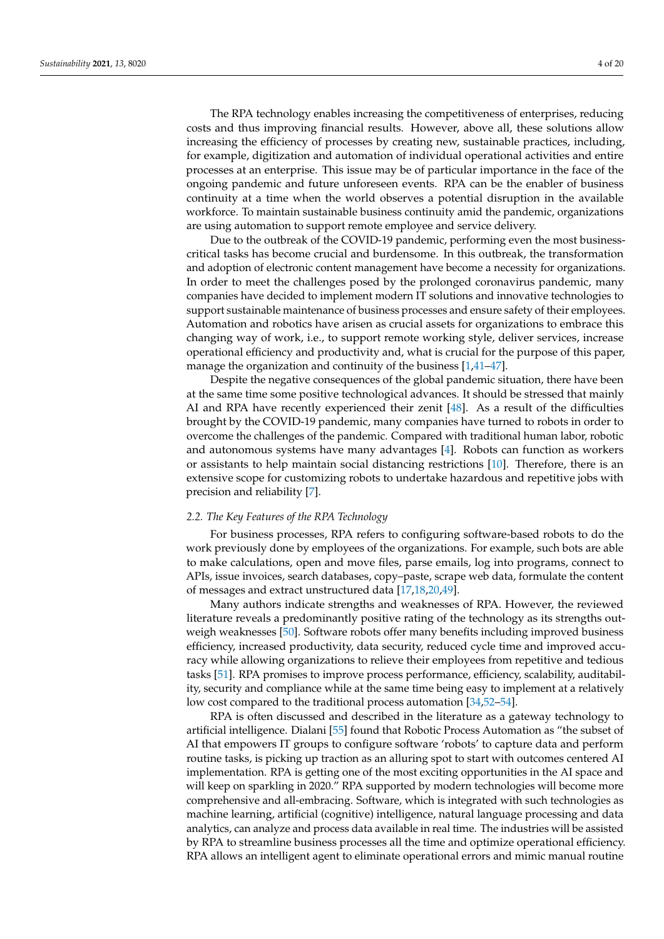The RPA technology enables increasing the competitiveness of enterprises, reducing costs and thus improving financial results. However, above all, these solutions allow increasing the efficiency of processes by creating new, sustainable practices, including, for example, digitization and automation of individual operational activities and entire processes at an enterprise. This issue may be of particular importance in the face of the ongoing pandemic and future unforeseen events. RPA can be the enabler of business continuity at a time when the world observes a potential disruption in the available workforce. To maintain sustainable business continuity amid the pandemic, organizations are using automation to support remote employee and service delivery.

Due to the outbreak of the COVID-19 pandemic, performing even the most businesscritical tasks has become crucial and burdensome. In this outbreak, the transformation and adoption of electronic content management have become a necessity for organizations. In order to meet the challenges posed by the prolonged coronavirus pandemic, many companies have decided to implement modern IT solutions and innovative technologies to support sustainable maintenance of business processes and ensure safety of their employees. Automation and robotics have arisen as crucial assets for organizations to embrace this changing way of work, i.e., to support remote working style, deliver services, increase operational efficiency and productivity and, what is crucial for the purpose of this paper, manage the organization and continuity of the business [\[1](#page-17-0)[,41–](#page-18-11)[47\]](#page-18-12).

Despite the negative consequences of the global pandemic situation, there have been at the same time some positive technological advances. It should be stressed that mainly AI and RPA have recently experienced their zenit [\[48\]](#page-18-13). As a result of the difficulties brought by the COVID-19 pandemic, many companies have turned to robots in order to overcome the challenges of the pandemic. Compared with traditional human labor, robotic and autonomous systems have many advantages [\[4\]](#page-17-19). Robots can function as workers or assistants to help maintain social distancing restrictions [\[10\]](#page-17-7). Therefore, there is an extensive scope for customizing robots to undertake hazardous and repetitive jobs with precision and reliability [\[7\]](#page-17-2).

## *2.2. The Key Features of the RPA Technology*

For business processes, RPA refers to configuring software-based robots to do the work previously done by employees of the organizations. For example, such bots are able to make calculations, open and move files, parse emails, log into programs, connect to APIs, issue invoices, search databases, copy–paste, scrape web data, formulate the content of messages and extract unstructured data [\[17,](#page-17-20)[18,](#page-17-21)[20,](#page-17-15)[49\]](#page-18-14).

Many authors indicate strengths and weaknesses of RPA. However, the reviewed literature reveals a predominantly positive rating of the technology as its strengths outweigh weaknesses [\[50\]](#page-18-15). Software robots offer many benefits including improved business efficiency, increased productivity, data security, reduced cycle time and improved accuracy while allowing organizations to relieve their employees from repetitive and tedious tasks [\[51\]](#page-18-16). RPA promises to improve process performance, efficiency, scalability, auditability, security and compliance while at the same time being easy to implement at a relatively low cost compared to the traditional process automation [\[34](#page-18-4)[,52–](#page-18-17)[54\]](#page-18-18).

RPA is often discussed and described in the literature as a gateway technology to artificial intelligence. Dialani [\[55\]](#page-18-19) found that Robotic Process Automation as "the subset of AI that empowers IT groups to configure software 'robots' to capture data and perform routine tasks, is picking up traction as an alluring spot to start with outcomes centered AI implementation. RPA is getting one of the most exciting opportunities in the AI space and will keep on sparkling in 2020." RPA supported by modern technologies will become more comprehensive and all-embracing. Software, which is integrated with such technologies as machine learning, artificial (cognitive) intelligence, natural language processing and data analytics, can analyze and process data available in real time. The industries will be assisted by RPA to streamline business processes all the time and optimize operational efficiency. RPA allows an intelligent agent to eliminate operational errors and mimic manual routine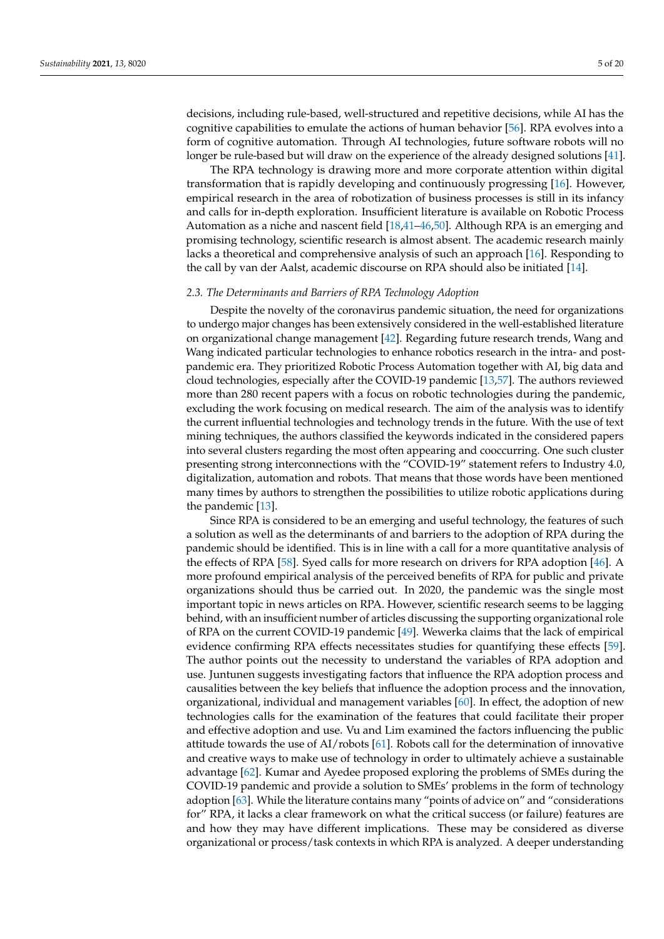decisions, including rule-based, well-structured and repetitive decisions, while AI has the cognitive capabilities to emulate the actions of human behavior [\[56\]](#page-19-0). RPA evolves into a form of cognitive automation. Through AI technologies, future software robots will no longer be rule-based but will draw on the experience of the already designed solutions [\[41\]](#page-18-11).

The RPA technology is drawing more and more corporate attention within digital transformation that is rapidly developing and continuously progressing [\[16\]](#page-17-13). However, empirical research in the area of robotization of business processes is still in its infancy and calls for in-depth exploration. Insufficient literature is available on Robotic Process Automation as a niche and nascent field [\[18,](#page-17-21)[41–](#page-18-11)[46,](#page-18-20)[50\]](#page-18-15). Although RPA is an emerging and promising technology, scientific research is almost absent. The academic research mainly lacks a theoretical and comprehensive analysis of such an approach [\[16\]](#page-17-13). Responding to the call by van der Aalst, academic discourse on RPA should also be initiated [\[14\]](#page-17-11).

## *2.3. The Determinants and Barriers of RPA Technology Adoption*

Despite the novelty of the coronavirus pandemic situation, the need for organizations to undergo major changes has been extensively considered in the well-established literature on organizational change management [\[42\]](#page-18-21). Regarding future research trends, Wang and Wang indicated particular technologies to enhance robotics research in the intra- and postpandemic era. They prioritized Robotic Process Automation together with AI, big data and cloud technologies, especially after the COVID-19 pandemic [\[13](#page-17-10)[,57\]](#page-19-1). The authors reviewed more than 280 recent papers with a focus on robotic technologies during the pandemic, excluding the work focusing on medical research. The aim of the analysis was to identify the current influential technologies and technology trends in the future. With the use of text mining techniques, the authors classified the keywords indicated in the considered papers into several clusters regarding the most often appearing and cooccurring. One such cluster presenting strong interconnections with the "COVID-19" statement refers to Industry 4.0, digitalization, automation and robots. That means that those words have been mentioned many times by authors to strengthen the possibilities to utilize robotic applications during the pandemic [\[13\]](#page-17-10).

Since RPA is considered to be an emerging and useful technology, the features of such a solution as well as the determinants of and barriers to the adoption of RPA during the pandemic should be identified. This is in line with a call for a more quantitative analysis of the effects of RPA [\[58\]](#page-19-2). Syed calls for more research on drivers for RPA adoption [\[46\]](#page-18-20). A more profound empirical analysis of the perceived benefits of RPA for public and private organizations should thus be carried out. In 2020, the pandemic was the single most important topic in news articles on RPA. However, scientific research seems to be lagging behind, with an insufficient number of articles discussing the supporting organizational role of RPA on the current COVID-19 pandemic [\[49\]](#page-18-14). Wewerka claims that the lack of empirical evidence confirming RPA effects necessitates studies for quantifying these effects [\[59\]](#page-19-3). The author points out the necessity to understand the variables of RPA adoption and use. Juntunen suggests investigating factors that influence the RPA adoption process and causalities between the key beliefs that influence the adoption process and the innovation, organizational, individual and management variables [\[60\]](#page-19-4). In effect, the adoption of new technologies calls for the examination of the features that could facilitate their proper and effective adoption and use. Vu and Lim examined the factors influencing the public attitude towards the use of AI/robots [\[61\]](#page-19-5). Robots call for the determination of innovative and creative ways to make use of technology in order to ultimately achieve a sustainable advantage [\[62\]](#page-19-6). Kumar and Ayedee proposed exploring the problems of SMEs during the COVID-19 pandemic and provide a solution to SMEs' problems in the form of technology adoption [\[63\]](#page-19-7). While the literature contains many "points of advice on" and "considerations for" RPA, it lacks a clear framework on what the critical success (or failure) features are and how they may have different implications. These may be considered as diverse organizational or process/task contexts in which RPA is analyzed. A deeper understanding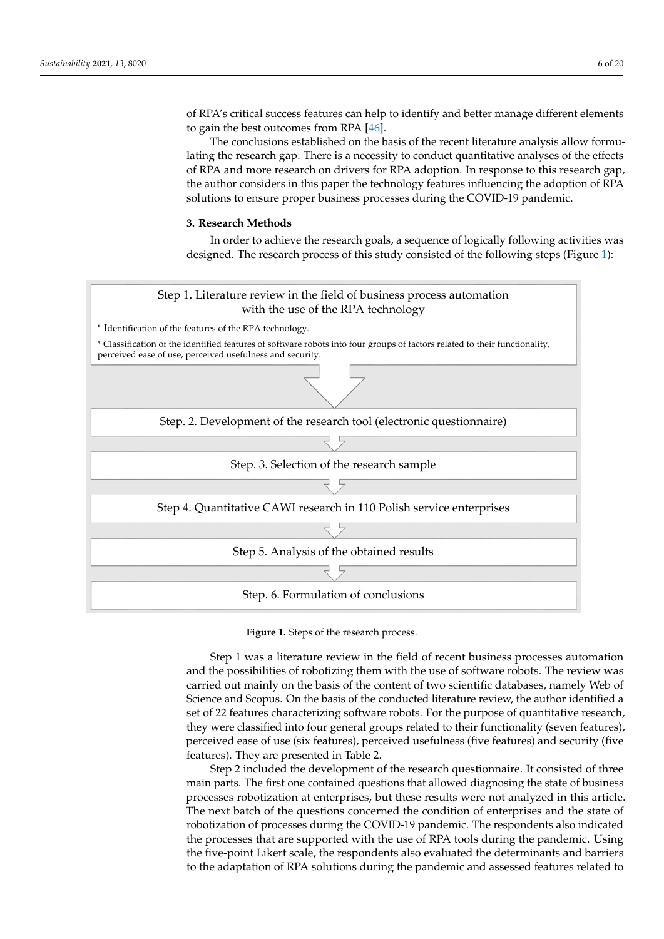of RPA's critical success features can help to identify and better manage different elements to gain the best outcomes from RPA  $[46]$ .

The conclusions established on the basis of the recent literature analysis allow formu-  $\;$ lating the research gap. There is a necessity to conduct quantitative analyses of the effects of RPA and more research on drivers for RPA adoption. In response to this research gap, the author considers in this paper the technology features influencing the adoption of RPA solutions to ensure proper business processes during the COVID-19 pandemic.

## <span id="page-5-0"></span>**3. Research Methods 3. Research Methods**

In order to achieve the research goals, a sequence of logically following activities was<br>In order to achieve the research goals, a sequence of logically following activities was designed. The research process of this study consisted of the following steps (Figure [1\)](#page-5-1): designed. The research process of this study consisted of the following steps (Figure 1):

<span id="page-5-1"></span>

**Figure 1.** Steps of the research process. **Figure 1.** Steps of the research process.

Step 1 was a literature review in the field of recent business processes automation Step 1 was a literature review in the field of recent business processes automation and the possibilities of robotizing them with the use of software robots. The review was and the possibilities of robotizing them with the use of software robots. The review was carried out mainly on the basis of the content of two scientific databases, namely Web of Science and Scopus. On the basis of the conducted literature review, the author identified Science and Scopus. On the basis of the conducted literature review, the author identified a set of 22 features characterizing software robots. For the purpose of quantitative research, they were classified into four general groups related to their functionality (seven features), perceived ease of use (six features), perceived usefulness (five features) and security (five features). They are presented in Table 2.

Step 2 included the development of the research questionnaire. It consisted of three Step 2 included the development of the research questionnaire. It consisted of three main parts. The first one contained questions that allowed diagnosing the state of business main parts. The first one contained questions that allowed diagnosing the state of business processes robotization at enterprises, but these results were not analyzed in this article. processes robotization at enterprises, but these results were not analyzed in this article.<br>The next batch of the questions concerned the condition of enterprises and the state of robotization of processes during the COVID-19 pandemic. The respondents also indicated the processes that are supported with the use of RPA tools during the pandemic. Using the five-point Likert scale, the respondents also evaluated the determinants and barriers to the adaptation of RPA solutions during the pandemic and assessed features related to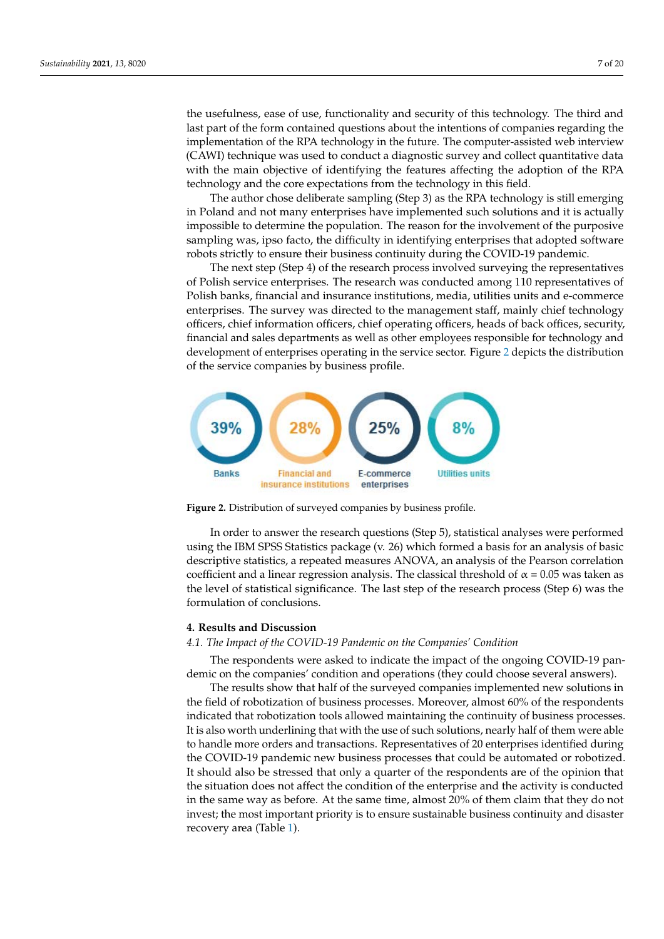the usefulness, ease of use, functionality and security of this technology. The third and the usefulness, ease of use, functionality and security of this technology. The third and last part of the form contained questions about the intentions of companies regarding the last part of the form contained questions about the intentions of companies regarding the implementation of the RPA technology in the future. The computer-assisted web interview Imprementation of the farrit detailed gy in the radiate. The comparer assisted west interview (CAWI) technique was used to conduct a diagnostic survey and collect quantitative data with the main objective of identifying the features affecting the adoption of the RPA data with the main objective of identifying the features affecting the adoption of the RPA technology and the core expectations from the technology in this field. technology and the core expectations from the technology in this field.

the five-point Likert scale, the respondents also evaluated the determinants also evaluated the determinants and barriers and barriers are determined the determinants and barriers are determined by  $\mathcal{L}_\text{max}$ 

The author chose deliberate sampling (Step 3) as the RPA technology is still emerging The author chose deliberate sampling (Step 3) as the RPA technology is still emerging in Poland and not many enterprises have implemented such solutions and it is actually in Poland and not many enterprises have implemented such solutions and it is actually impossible to determine the population. The reason for the involvement of the purposive impossible to determine the population. The reason for the involvement of the purposive sampling was, ipso facto, the difficulty in identifying enterprises that adopted software robots strictly to ensure their business continuity during the COVID-19 pandemic. robots strictly to ensure their business continuity during the COVID-19 pandemic.

The next step (Step 4) of the research process involved surveying the representatives The next step (Step 4) of the research process involved surveying the representatives of Polish service enterprises. The research was conducted among 110 representatives of Polish banks, financial and insurance institutions, media, utilities units and e-commerce Polish banks, financial and insurance institutions, media, utilities units and e-commerce enterprises. The survey was directed to the management staff, mainly chief technology enterprises. The survey was directed to the management staff, mainly chief technology officers, chief information officers, chief operating officers, heads of back offices, security, officers, chief information officers, chief operating officers, heads of back offices, security, financial and sales departments as well as other employees responsible for technology and financial and sales departments as well as other employees responsible for technology development of enterprises operating in the service sector. Figure [2](#page-6-0) depicts the distribution of the service companies by business profile.

<span id="page-6-0"></span>

**Figure 2.** Distribution of surveyed companies by business profile. **Figure 2.** Distribution of surveyed companies by business profile.

In order to answer the research questions (Step 5), statistical analyses were performed<br>a the IPM SPSS Statistics as class (s. 26) subjets formed a basis for an analysis of basis descriptive statistics, a repeated measures ANOVA, an analysis of the Pearson correlation coefficient and a linear regression analysis. The classical threshold of  $\alpha = 0.05$  was taken as coefficient and a linear regression analysis. The coefficient and a linear regression  $\epsilon$  and  $\epsilon$  and  $\epsilon$  and  $\epsilon$  and  $\epsilon$  and  $\epsilon$  and  $\epsilon$  and  $\epsilon$  and  $\epsilon$  and  $\epsilon$  and  $\epsilon$  and  $\epsilon$  and  $\epsilon$  and  $\epsilon$  and  $\epsilon$  and the level of statistical significance. The last step of the research process (Step 6) was the formulation of conclusions. formulation of conclusions. using the IBM SPSS Statistics package (v. 26) which formed a basis for an analysis of basic formulation of conclusions.

#### **4. Results and Discussion**

## 4.1. The Impact of the COVID-19 Pandemic on the Companies' Condition

The respondents were asked to indicate the impact of the ongoing COVID-19 pandemic on the companies' condition and operations (they could choose several answers).

The results show that half of the surveyed companies implemented new solutions in the field of robotization of business processes. Moreover, almost 60% of the respondents indicated that robotization tools allowed maintaining the continuity of business processes. It is also worth underlining that with the use of such solutions, nearly half of them were able to handle more orders and transactions. Representatives of 20 enterprises identified during the COVID-19 pandemic new business processes that could be automated or robotized. It should also be stressed that only a quarter of the respondents are of the opinion that the situation does not affect the condition of the enterprise and the activity is conducted in the same way as before. At the same time, almost  $20\%$  of them claim that they do not invest; the most important priority is to ensure sustainable business continuity and disaster recovery area (Table [1\)](#page-7-0).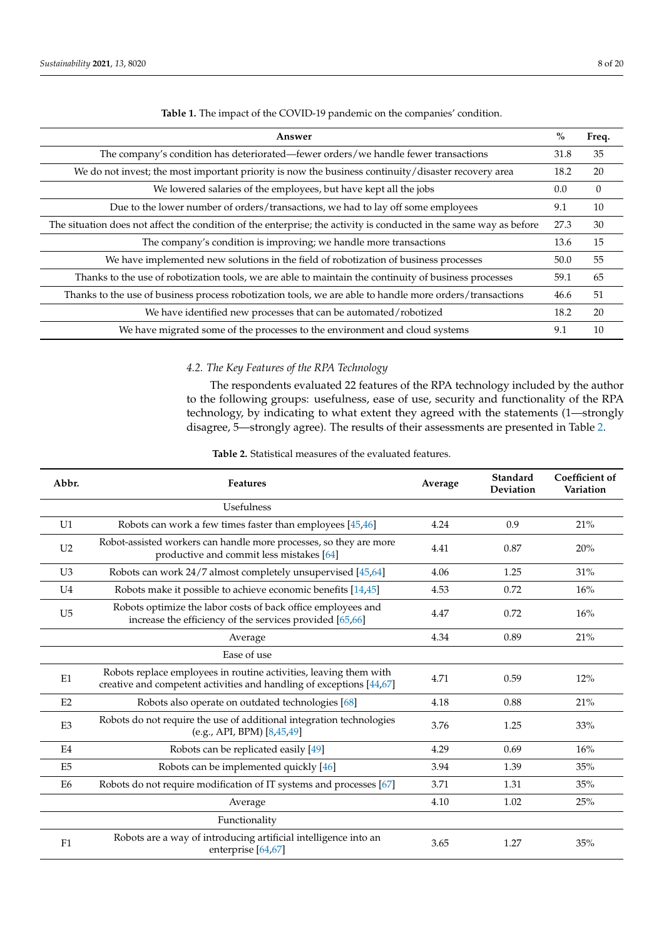<span id="page-7-0"></span>

| Answer                                                                                                             | $\frac{0}{0}$ | Freq.    |
|--------------------------------------------------------------------------------------------------------------------|---------------|----------|
| The company's condition has deteriorated—fewer orders/we handle fewer transactions                                 | 31.8          | 35       |
| We do not invest; the most important priority is now the business continuity/disaster recovery area                | 18.2          | 20       |
| We lowered salaries of the employees, but have kept all the jobs                                                   | 0.0           | $\theta$ |
| Due to the lower number of orders/transactions, we had to lay off some employees                                   | 9.1           | 10       |
| The situation does not affect the condition of the enterprise; the activity is conducted in the same way as before | 27.3          | 30       |
| The company's condition is improving; we handle more transactions                                                  | 13.6          | 15       |
| We have implemented new solutions in the field of robotization of business processes                               | 50.0          | 55       |
| Thanks to the use of robotization tools, we are able to maintain the continuity of business processes              | 59.1          | 65       |
| Thanks to the use of business process robotization tools, we are able to handle more orders/transactions           | 46.6          | 51       |
| We have identified new processes that can be automated/robotized                                                   | 18.2          | 20       |
| We have migrated some of the processes to the environment and cloud systems                                        | 9.1           | 10       |

**Table 1.** The impact of the COVID-19 pandemic on the companies' condition.

## *4.2. The Key Features of the RPA Technology*

The respondents evaluated 22 features of the RPA technology included by the author to the following groups: usefulness, ease of use, security and functionality of the RPA technology, by indicating to what extent they agreed with the statements (1—strongly disagree, 5—strongly agree). The results of their assessments are presented in Table [2.](#page-8-0)

| Abbr.          | <b>Features</b>                                                                                                                           | Average | Standard<br>Deviation | Coefficient of<br>Variation |
|----------------|-------------------------------------------------------------------------------------------------------------------------------------------|---------|-----------------------|-----------------------------|
|                | Usefulness                                                                                                                                |         |                       |                             |
| U1             | Robots can work a few times faster than employees [45,46]                                                                                 | 4.24    | 0.9                   | 21%                         |
| U <sub>2</sub> | Robot-assisted workers can handle more processes, so they are more<br>productive and commit less mistakes [64]                            | 4.41    | 0.87                  | 20%                         |
| U <sub>3</sub> | Robots can work 24/7 almost completely unsupervised [45,64]                                                                               | 4.06    | 1.25                  | 31%                         |
| U <sub>4</sub> | Robots make it possible to achieve economic benefits [14,45]                                                                              | 4.53    | 0.72                  | 16%                         |
| U <sub>5</sub> | Robots optimize the labor costs of back office employees and<br>increase the efficiency of the services provided [65,66]                  | 4.47    | 0.72                  | 16%                         |
|                | Average                                                                                                                                   | 4.34    | 0.89                  | 21%                         |
|                | Ease of use                                                                                                                               |         |                       |                             |
| E1             | Robots replace employees in routine activities, leaving them with<br>creative and competent activities and handling of exceptions [44,67] | 4.71    | 0.59                  | 12%                         |
| E2             | Robots also operate on outdated technologies [68]                                                                                         | 4.18    | 0.88                  | 21%                         |
| E <sub>3</sub> | Robots do not require the use of additional integration technologies<br>(e.g., API, BPM) [8,45,49]                                        | 3.76    | 1.25                  | 33%                         |
| E4             | Robots can be replicated easily [49]                                                                                                      | 4.29    | 0.69                  | 16%                         |
| E <sub>5</sub> | Robots can be implemented quickly [46]                                                                                                    | 3.94    | 1.39                  | 35%                         |
| E <sub>6</sub> | Robots do not require modification of IT systems and processes [67]                                                                       | 3.71    | 1.31                  | 35%                         |
|                | Average                                                                                                                                   | 4.10    | 1.02                  | 25%                         |
|                | Functionality                                                                                                                             |         |                       |                             |
| F1             | Robots are a way of introducing artificial intelligence into an<br>enterprise [64,67]                                                     | 3.65    | 1.27                  | 35%                         |

**Table 2.** Statistical measures of the evaluated features.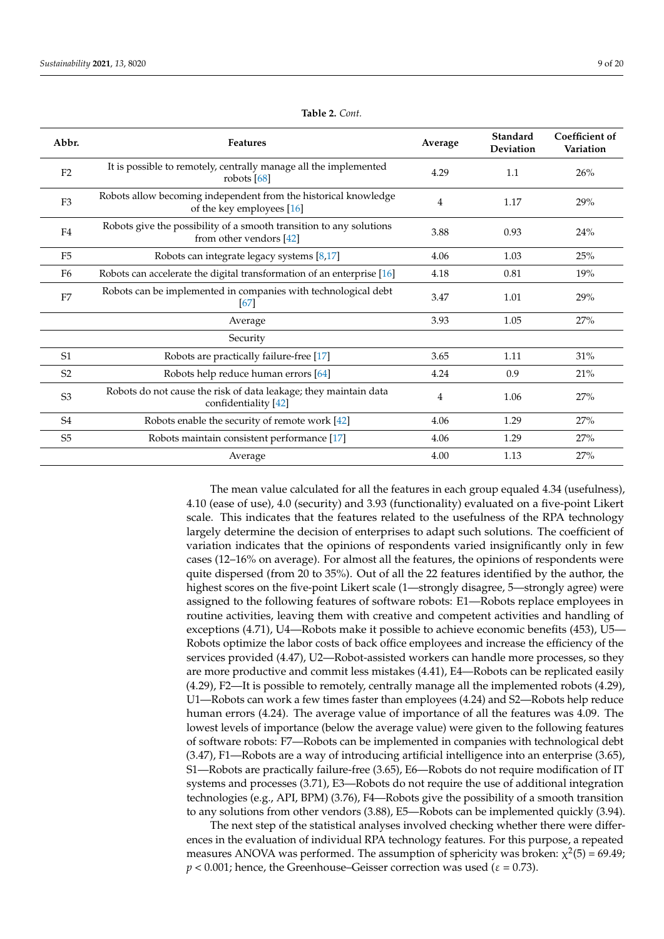<span id="page-8-0"></span>

| Abbr.          | <b>Features</b>                                                                                  | Average        | Standard<br>Deviation | <b>Coefficient of</b><br>Variation |
|----------------|--------------------------------------------------------------------------------------------------|----------------|-----------------------|------------------------------------|
| F2             | It is possible to remotely, centrally manage all the implemented<br>robots $[68]$                | 4.29           | 1.1                   | 26%                                |
| F <sub>3</sub> | Robots allow becoming independent from the historical knowledge<br>of the key employees [16]     | 4              | 1.17                  | 29%                                |
| F <sub>4</sub> | Robots give the possibility of a smooth transition to any solutions<br>from other vendors $[42]$ | 3.88           | 0.93                  | 24%                                |
| F <sub>5</sub> | Robots can integrate legacy systems [8,17]                                                       | 4.06           | 1.03                  | 25%                                |
| F <sub>6</sub> | Robots can accelerate the digital transformation of an enterprise [16]                           | 4.18           | 0.81                  | 19%                                |
| F <sub>7</sub> | Robots can be implemented in companies with technological debt<br>167 I                          |                | 1.01                  | 29%                                |
|                | Average                                                                                          | 3.93           | 1.05                  | 27%                                |
|                | Security                                                                                         |                |                       |                                    |
| S <sub>1</sub> | Robots are practically failure-free [17]                                                         | 3.65           | 1.11                  | 31%                                |
| S <sub>2</sub> | Robots help reduce human errors [64]                                                             | 4.24           | 0.9                   | 21%                                |
| S <sub>3</sub> | Robots do not cause the risk of data leakage; they maintain data<br>confidentiality [42]         | $\overline{4}$ | 1.06                  | 27%                                |
| S <sub>4</sub> | Robots enable the security of remote work [42]                                                   | 4.06           | 1.29                  | 27%                                |
| S <sub>5</sub> | Robots maintain consistent performance [17]                                                      | 4.06           | 1.29                  | 27%                                |
|                | Average                                                                                          | 4.00           | 1.13                  | 27%                                |

**Table 2.** *Cont.*

The mean value calculated for all the features in each group equaled 4.34 (usefulness), 4.10 (ease of use), 4.0 (security) and 3.93 (functionality) evaluated on a five-point Likert scale. This indicates that the features related to the usefulness of the RPA technology largely determine the decision of enterprises to adapt such solutions. The coefficient of variation indicates that the opinions of respondents varied insignificantly only in few cases (12–16% on average). For almost all the features, the opinions of respondents were quite dispersed (from 20 to 35%). Out of all the 22 features identified by the author, the highest scores on the five-point Likert scale (1—strongly disagree, 5—strongly agree) were assigned to the following features of software robots: E1—Robots replace employees in routine activities, leaving them with creative and competent activities and handling of exceptions (4.71), U4—Robots make it possible to achieve economic benefits (453), U5— Robots optimize the labor costs of back office employees and increase the efficiency of the services provided (4.47), U2—Robot-assisted workers can handle more processes, so they are more productive and commit less mistakes (4.41), E4—Robots can be replicated easily (4.29), F2—It is possible to remotely, centrally manage all the implemented robots (4.29), U1—Robots can work a few times faster than employees (4.24) and S2—Robots help reduce human errors (4.24). The average value of importance of all the features was 4.09. The lowest levels of importance (below the average value) were given to the following features of software robots: F7—Robots can be implemented in companies with technological debt (3.47), F1—Robots are a way of introducing artificial intelligence into an enterprise (3.65), S1—Robots are practically failure-free (3.65), E6—Robots do not require modification of IT systems and processes (3.71), E3—Robots do not require the use of additional integration technologies (e.g., API, BPM) (3.76), F4—Robots give the possibility of a smooth transition to any solutions from other vendors (3.88), E5—Robots can be implemented quickly (3.94).

The next step of the statistical analyses involved checking whether there were differences in the evaluation of individual RPA technology features. For this purpose, a repeated measures ANOVA was performed. The assumption of sphericity was broken:  $\chi^2(5) = 69.49$ ;  $p < 0.001$ ; hence, the Greenhouse–Geisser correction was used ( $\varepsilon = 0.73$ ).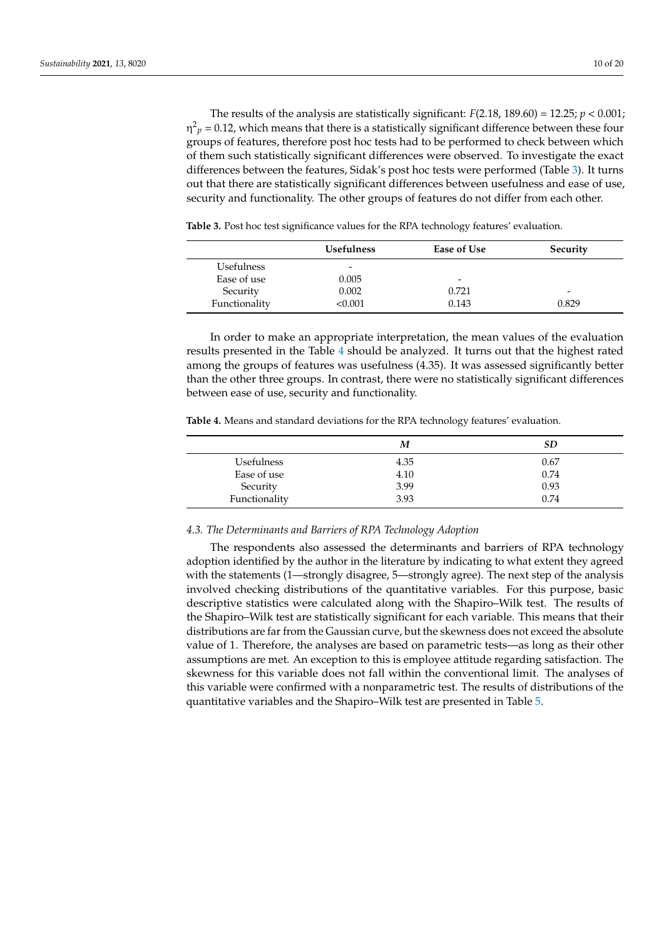The results of the analysis are statistically significant:  $F(2.18, 189.60) = 12.25; p < 0.001;$  $η<sup>2</sup><sub>p</sub> = 0.12$ , which means that there is a statistically significant difference between these four groups of features, therefore post hoc tests had to be performed to check between which of them such statistically significant differences were observed. To investigate the exact differences between the features, Sidak's post hoc tests were performed (Table [3\)](#page-9-0). It turns out that there are statistically significant differences between usefulness and ease of use, security and functionality. The other groups of features do not differ from each other.

Usefulness Ease of Use Security Usefulness - Ease of use 0.005 Security 0.002 0.721 - 2002 0.921 0.921 0.921 0.922 0.922 0.922 0.922 0.922 0.923 0.923 0.923 0.923 0.923 0.923 0.923 0.923 0.923 0.923 0.923 0.923 0.923 0.923 0.923 0.923 0.923 0.923 0.923 0.923 0.923 0.923 0.923 0.923 0. Functionality  $\leq 0.001$  0.143 0.829

<span id="page-9-0"></span>**Table 3.** Post hoc test significance values for the RPA technology features' evaluation.

In order to make an appropriate interpretation, the mean values of the evaluation results presented in the Table [4](#page-9-1) should be analyzed. It turns out that the highest rated among the groups of features was usefulness (4.35). It was assessed significantly better than the other three groups. In contrast, there were no statistically significant differences between ease of use, security and functionality.

<span id="page-9-1"></span>**Table 4.** Means and standard deviations for the RPA technology features' evaluation.

|                   | M    | SD   |
|-------------------|------|------|
| <b>Usefulness</b> | 4.35 | 0.67 |
| Ease of use       | 4.10 | 0.74 |
| Security          | 3.99 | 0.93 |
| Functionality     | 3.93 | 0.74 |

## *4.3. The Determinants and Barriers of RPA Technology Adoption*

The respondents also assessed the determinants and barriers of RPA technology adoption identified by the author in the literature by indicating to what extent they agreed with the statements (1—strongly disagree, 5—strongly agree). The next step of the analysis involved checking distributions of the quantitative variables. For this purpose, basic descriptive statistics were calculated along with the Shapiro–Wilk test. The results of the Shapiro–Wilk test are statistically significant for each variable. This means that their distributions are far from the Gaussian curve, but the skewness does not exceed the absolute value of 1. Therefore, the analyses are based on parametric tests—as long as their other assumptions are met. An exception to this is employee attitude regarding satisfaction. The skewness for this variable does not fall within the conventional limit. The analyses of this variable were confirmed with a nonparametric test. The results of distributions of the quantitative variables and the Shapiro–Wilk test are presented in Table [5.](#page-11-0)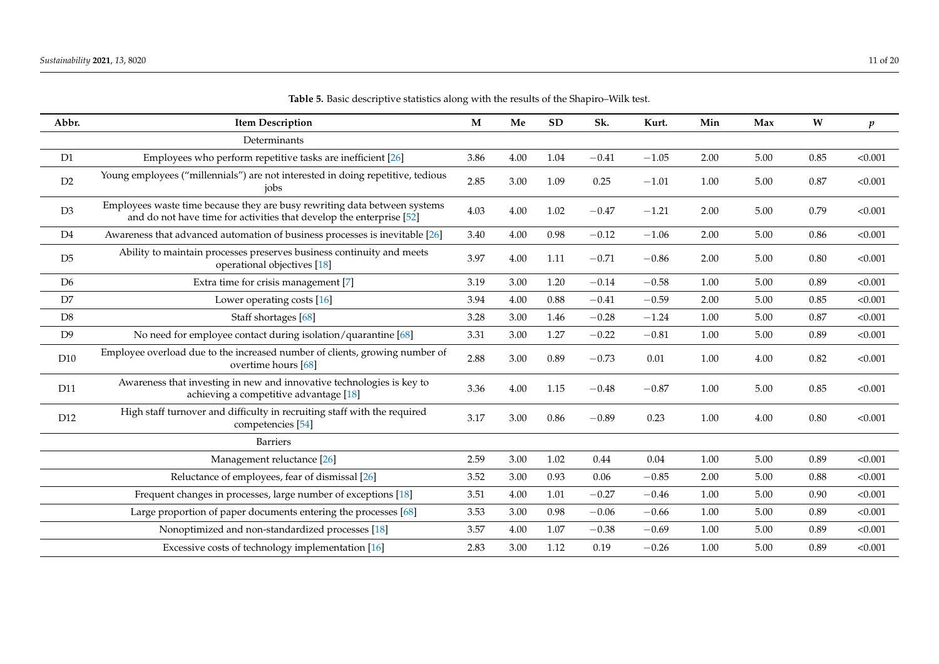| Abbr.          | <b>Item Description</b>                                                                                                                           | M    | Me   | <b>SD</b> | Sk.     | Kurt.   | Min  | Max  | $\boldsymbol{W}$ | $\boldsymbol{p}$ |
|----------------|---------------------------------------------------------------------------------------------------------------------------------------------------|------|------|-----------|---------|---------|------|------|------------------|------------------|
|                | Determinants                                                                                                                                      |      |      |           |         |         |      |      |                  |                  |
| D1             | Employees who perform repetitive tasks are inefficient [26]                                                                                       | 3.86 | 4.00 | 1.04      | $-0.41$ | $-1.05$ | 2.00 | 5.00 | 0.85             | < 0.001          |
| D2             | Young employees ("millennials") are not interested in doing repetitive, tedious<br>jobs                                                           | 2.85 | 3.00 | 1.09      | 0.25    | $-1.01$ | 1.00 | 5.00 | 0.87             | < 0.001          |
| D3             | Employees waste time because they are busy rewriting data between systems<br>and do not have time for activities that develop the enterprise [52] | 4.03 | 4.00 | 1.02      | $-0.47$ | $-1.21$ | 2.00 | 5.00 | 0.79             | < 0.001          |
| D <sub>4</sub> | Awareness that advanced automation of business processes is inevitable [26]                                                                       | 3.40 | 4.00 | 0.98      | $-0.12$ | $-1.06$ | 2.00 | 5.00 | 0.86             | < 0.001          |
| D5             | Ability to maintain processes preserves business continuity and meets<br>operational objectives [18]                                              | 3.97 | 4.00 | 1.11      | $-0.71$ | $-0.86$ | 2.00 | 5.00 | $0.80\,$         | < 0.001          |
| D <sub>6</sub> | Extra time for crisis management [7]                                                                                                              | 3.19 | 3.00 | 1.20      | $-0.14$ | $-0.58$ | 1.00 | 5.00 | 0.89             | < 0.001          |
| D7             | Lower operating costs [16]                                                                                                                        | 3.94 | 4.00 | 0.88      | $-0.41$ | $-0.59$ | 2.00 | 5.00 | 0.85             | < 0.001          |
| D <sub>8</sub> | Staff shortages [68]                                                                                                                              | 3.28 | 3.00 | 1.46      | $-0.28$ | $-1.24$ | 1.00 | 5.00 | 0.87             | < 0.001          |
| D <sub>9</sub> | No need for employee contact during isolation/quarantine [68]                                                                                     | 3.31 | 3.00 | 1.27      | $-0.22$ | $-0.81$ | 1.00 | 5.00 | 0.89             | < 0.001          |
| D10            | Employee overload due to the increased number of clients, growing number of<br>overtime hours [68]                                                | 2.88 | 3.00 | 0.89      | $-0.73$ | 0.01    | 1.00 | 4.00 | 0.82             | < 0.001          |
| D11            | Awareness that investing in new and innovative technologies is key to<br>achieving a competitive advantage [18]                                   | 3.36 | 4.00 | 1.15      | $-0.48$ | $-0.87$ | 1.00 | 5.00 | 0.85             | < 0.001          |
| D12            | High staff turnover and difficulty in recruiting staff with the required<br>competencies [54]                                                     | 3.17 | 3.00 | 0.86      | $-0.89$ | 0.23    | 1.00 | 4.00 | 0.80             | < 0.001          |
|                | <b>Barriers</b>                                                                                                                                   |      |      |           |         |         |      |      |                  |                  |
|                | Management reluctance [26]                                                                                                                        | 2.59 | 3.00 | 1.02      | 0.44    | 0.04    | 1.00 | 5.00 | 0.89             | < 0.001          |
|                | Reluctance of employees, fear of dismissal [26]                                                                                                   | 3.52 | 3.00 | 0.93      | 0.06    | $-0.85$ | 2.00 | 5.00 | 0.88             | < 0.001          |
|                | Frequent changes in processes, large number of exceptions [18]                                                                                    | 3.51 | 4.00 | 1.01      | $-0.27$ | $-0.46$ | 1.00 | 5.00 | 0.90             | < 0.001          |
|                | Large proportion of paper documents entering the processes [68]                                                                                   | 3.53 | 3.00 | 0.98      | $-0.06$ | $-0.66$ | 1.00 | 5.00 | 0.89             | < 0.001          |
|                | Nonoptimized and non-standardized processes [18]                                                                                                  | 3.57 | 4.00 | 1.07      | $-0.38$ | $-0.69$ | 1.00 | 5.00 | 0.89             | < 0.001          |
|                | Excessive costs of technology implementation [16]                                                                                                 | 2.83 | 3.00 | 1.12      | 0.19    | $-0.26$ | 1.00 | 5.00 | 0.89             | < 0.001          |

**Table 5.** Basic descriptive statistics along with the results of the Shapiro–Wilk test.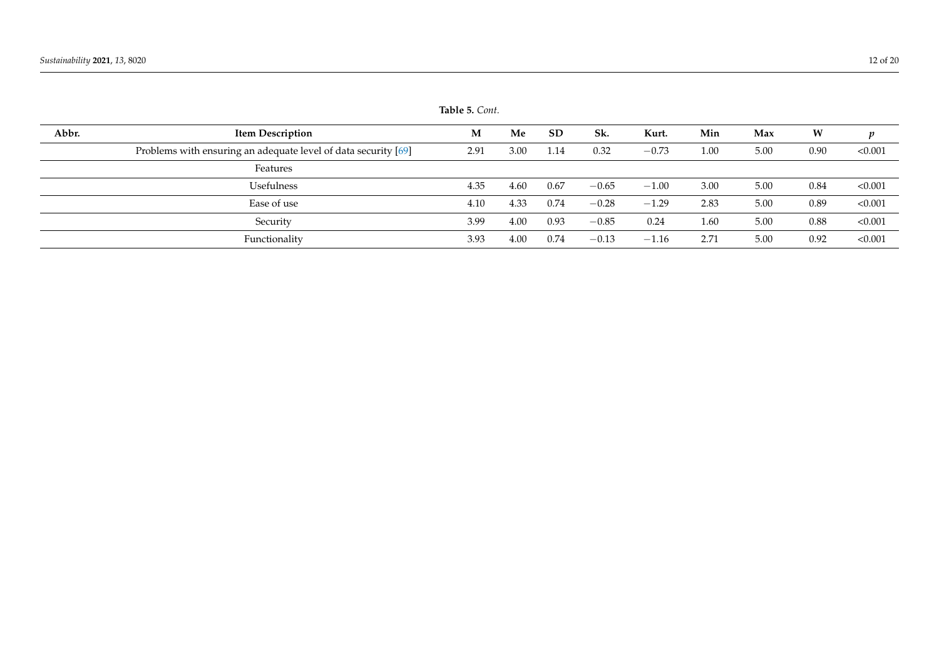<span id="page-11-0"></span>

|       |                                                                | <b>LAVIC J.</b> CUIII. |      |           |         |         |      |      |      |         |
|-------|----------------------------------------------------------------|------------------------|------|-----------|---------|---------|------|------|------|---------|
| Abbr. | <b>Item Description</b>                                        | M                      | Me   | <b>SD</b> | Sk.     | Kurt.   | Min  | Max  | W    | p       |
|       | Problems with ensuring an adequate level of data security [69] | 2.91                   | 3.00 | 1.14      | 0.32    | $-0.73$ | 1.00 | 5.00 | 0.90 | < 0.001 |
|       | Features                                                       |                        |      |           |         |         |      |      |      |         |
|       | Usefulness                                                     | 4.35                   | 4.60 | 0.67      | $-0.65$ | $-1.00$ | 3.00 | 5.00 | 0.84 | < 0.001 |
|       | Ease of use                                                    | 4.10                   | 4.33 | 0.74      | $-0.28$ | $-1.29$ | 2.83 | 5.00 | 0.89 | < 0.001 |
|       | Security                                                       | 3.99                   | 4.00 | 0.93      | $-0.85$ | 0.24    | 1.60 | 5.00 | 0.88 | < 0.001 |
|       | Functionality                                                  | 3.93                   | 4.00 | 0.74      | $-0.13$ | $-1.16$ | 2.71 | 5.00 | 0.92 | < 0.001 |

**Table 5.** *Cont.*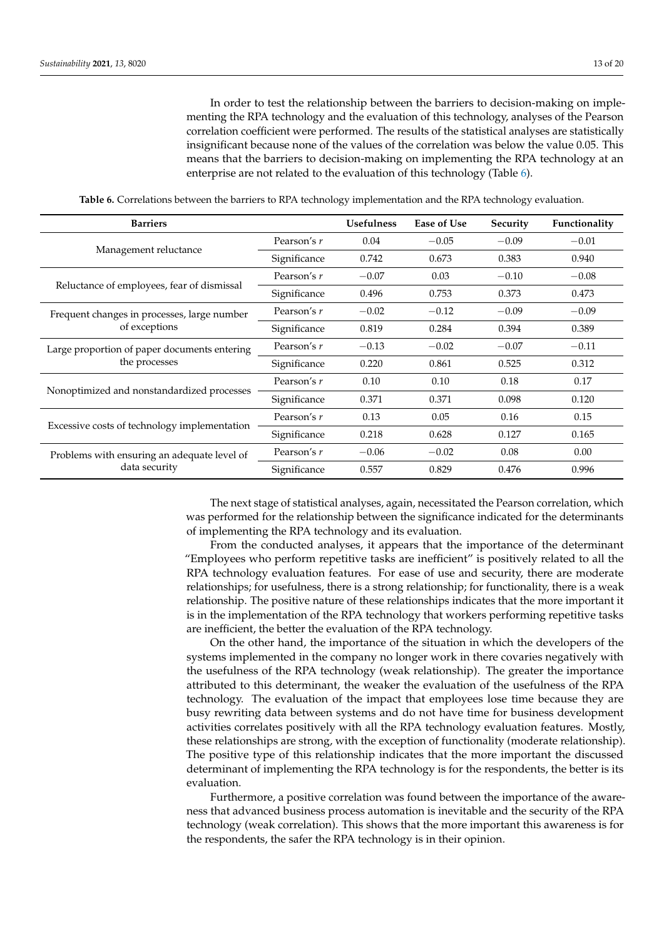In order to test the relationship between the barriers to decision-making on implementing the RPA technology and the evaluation of this technology, analyses of the Pearson correlation coefficient were performed. The results of the statistical analyses are statistically insignificant because none of the values of the correlation was below the value 0.05. This means that the barriers to decision-making on implementing the RPA technology at an enterprise are not related to the evaluation of this technology (Table [6\)](#page-12-0).

**Table 6.** Correlations between the barriers to RPA technology implementation and the RPA technology evaluation.

<span id="page-12-0"></span>

| <b>Barriers</b>                              |              | <b>Usefulness</b> | Ease of Use | Security | Functionality |
|----------------------------------------------|--------------|-------------------|-------------|----------|---------------|
|                                              | Pearson's r  | 0.04              | $-0.05$     | $-0.09$  | $-0.01$       |
| Management reluctance                        | Significance | 0.742             | 0.673       | 0.383    | 0.940         |
|                                              | Pearson's r  | $-0.07$           | 0.03        | $-0.10$  | $-0.08$       |
| Reluctance of employees, fear of dismissal   | Significance | 0.496             | 0.753       | 0.373    | 0.473         |
| Frequent changes in processes, large number  | Pearson's r  | $-0.02$           | $-0.12$     | $-0.09$  | $-0.09$       |
| of exceptions                                | Significance | 0.819             | 0.284       | 0.394    | 0.389         |
| Large proportion of paper documents entering | Pearson's r  | $-0.13$           | $-0.02$     | $-0.07$  | $-0.11$       |
| the processes                                | Significance | 0.220             | 0.861       | 0.525    | 0.312         |
|                                              | Pearson's r  | 0.10              | 0.10        | 0.18     | 0.17          |
| Nonoptimized and nonstandardized processes   | Significance | 0.371             | 0.371       | 0.098    | 0.120         |
|                                              | Pearson's r  | 0.13              | 0.05        | 0.16     | 0.15          |
| Excessive costs of technology implementation | Significance | 0.218             | 0.628       | 0.127    | 0.165         |
| Problems with ensuring an adequate level of  | Pearson's r  | $-0.06$           | $-0.02$     | 0.08     | 0.00          |
| data security                                | Significance | 0.557             | 0.829       | 0.476    | 0.996         |

The next stage of statistical analyses, again, necessitated the Pearson correlation, which was performed for the relationship between the significance indicated for the determinants of implementing the RPA technology and its evaluation.

From the conducted analyses, it appears that the importance of the determinant "Employees who perform repetitive tasks are inefficient" is positively related to all the RPA technology evaluation features. For ease of use and security, there are moderate relationships; for usefulness, there is a strong relationship; for functionality, there is a weak relationship. The positive nature of these relationships indicates that the more important it is in the implementation of the RPA technology that workers performing repetitive tasks are inefficient, the better the evaluation of the RPA technology.

On the other hand, the importance of the situation in which the developers of the systems implemented in the company no longer work in there covaries negatively with the usefulness of the RPA technology (weak relationship). The greater the importance attributed to this determinant, the weaker the evaluation of the usefulness of the RPA technology. The evaluation of the impact that employees lose time because they are busy rewriting data between systems and do not have time for business development activities correlates positively with all the RPA technology evaluation features. Mostly, these relationships are strong, with the exception of functionality (moderate relationship). The positive type of this relationship indicates that the more important the discussed determinant of implementing the RPA technology is for the respondents, the better is its evaluation.

Furthermore, a positive correlation was found between the importance of the awareness that advanced business process automation is inevitable and the security of the RPA technology (weak correlation). This shows that the more important this awareness is for the respondents, the safer the RPA technology is in their opinion.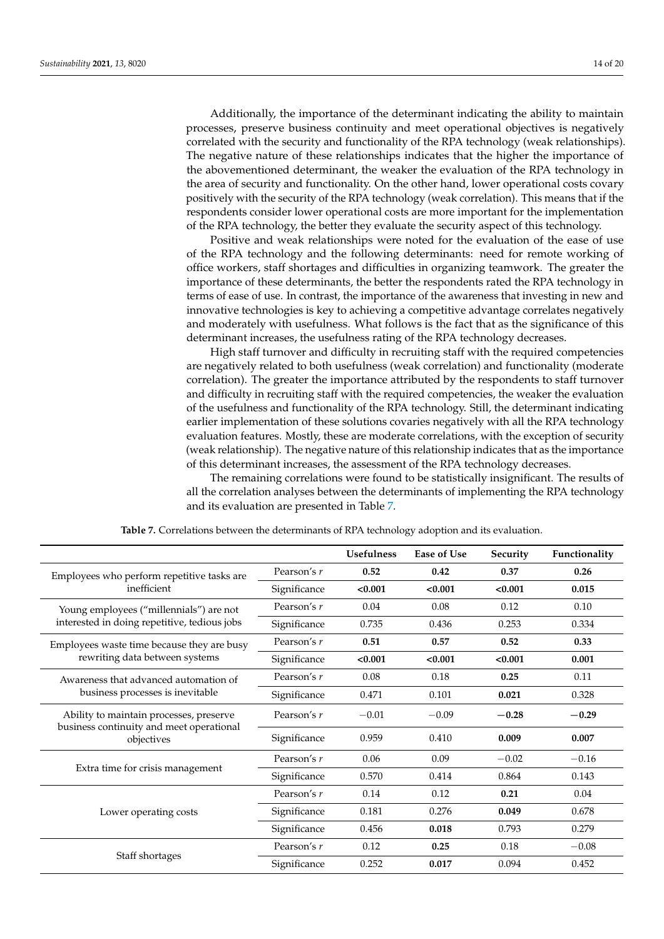Additionally, the importance of the determinant indicating the ability to maintain processes, preserve business continuity and meet operational objectives is negatively correlated with the security and functionality of the RPA technology (weak relationships). The negative nature of these relationships indicates that the higher the importance of the abovementioned determinant, the weaker the evaluation of the RPA technology in the area of security and functionality. On the other hand, lower operational costs covary positively with the security of the RPA technology (weak correlation). This means that if the respondents consider lower operational costs are more important for the implementation of the RPA technology, the better they evaluate the security aspect of this technology.

Positive and weak relationships were noted for the evaluation of the ease of use of the RPA technology and the following determinants: need for remote working of office workers, staff shortages and difficulties in organizing teamwork. The greater the importance of these determinants, the better the respondents rated the RPA technology in terms of ease of use. In contrast, the importance of the awareness that investing in new and innovative technologies is key to achieving a competitive advantage correlates negatively and moderately with usefulness. What follows is the fact that as the significance of this determinant increases, the usefulness rating of the RPA technology decreases.

High staff turnover and difficulty in recruiting staff with the required competencies are negatively related to both usefulness (weak correlation) and functionality (moderate correlation). The greater the importance attributed by the respondents to staff turnover and difficulty in recruiting staff with the required competencies, the weaker the evaluation of the usefulness and functionality of the RPA technology. Still, the determinant indicating earlier implementation of these solutions covaries negatively with all the RPA technology evaluation features. Mostly, these are moderate correlations, with the exception of security (weak relationship). The negative nature of this relationship indicates that as the importance of this determinant increases, the assessment of the RPA technology decreases.

The remaining correlations were found to be statistically insignificant. The results of all the correlation analyses between the determinants of implementing the RPA technology and its evaluation are presented in Table [7.](#page-14-0)

|                                                                                     |              | <b>Usefulness</b> | <b>Ease of Use</b> | Security | Functionality |
|-------------------------------------------------------------------------------------|--------------|-------------------|--------------------|----------|---------------|
| Employees who perform repetitive tasks are                                          | Pearson's r  | 0.52              | 0.42               | 0.37     | 0.26          |
| inefficient                                                                         | Significance | < 0.001           | < 0.001            | < 0.001  | 0.015         |
| Young employees ("millennials") are not                                             | Pearson's r  | 0.04              | 0.08               | 0.12     | 0.10          |
| interested in doing repetitive, tedious jobs                                        | Significance | 0.735             | 0.436              | 0.253    | 0.334         |
| Employees waste time because they are busy                                          | Pearson's r  | 0.51              | 0.57               | 0.52     | 0.33          |
| rewriting data between systems                                                      | Significance | < 0.001           | < 0.001            | < 0.001  | 0.001         |
| Awareness that advanced automation of                                               | Pearson's r  | 0.08              | 0.18               | 0.25     | 0.11          |
| business processes is inevitable                                                    | Significance | 0.471             | 0.101              | 0.021    | 0.328         |
| Ability to maintain processes, preserve<br>business continuity and meet operational | Pearson's r  | $-0.01$           | $-0.09$            | $-0.28$  | $-0.29$       |
| objectives                                                                          | Significance | 0.959             | 0.410              | 0.009    | 0.007         |
|                                                                                     | Pearson's r  | 0.06              | 0.09               | $-0.02$  | $-0.16$       |
| Extra time for crisis management                                                    | Significance | 0.570             | 0.414              | 0.864    | 0.143         |
|                                                                                     | Pearson's r  | 0.14              | 0.12               | 0.21     | 0.04          |
| Lower operating costs                                                               | Significance | 0.181             | 0.276              | 0.049    | 0.678         |
|                                                                                     | Significance | 0.456             | 0.018              | 0.793    | 0.279         |
|                                                                                     | Pearson's r  | 0.12              | 0.25               | 0.18     | $-0.08$       |
| Staff shortages                                                                     | Significance | 0.252             | 0.017              | 0.094    | 0.452         |

**Table 7.** Correlations between the determinants of RPA technology adoption and its evaluation.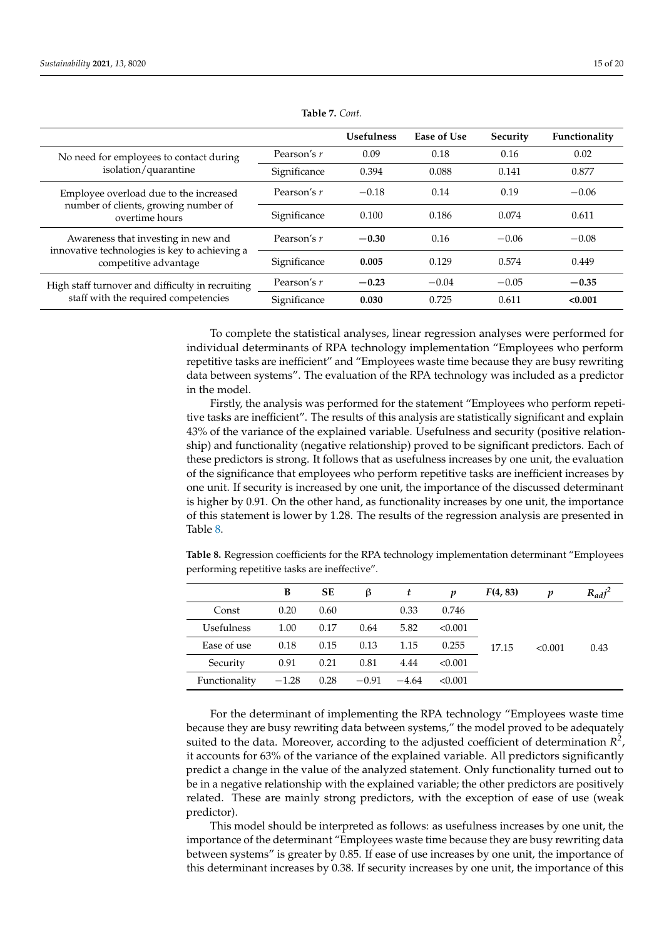<span id="page-14-0"></span>

|                                                                        |              | <b>Usefulness</b> | Ease of Use | Security | Functionality |
|------------------------------------------------------------------------|--------------|-------------------|-------------|----------|---------------|
| No need for employees to contact during                                | Pearson's r  | 0.09              | 0.18        | 0.16     | 0.02          |
| isolation/quarantine                                                   | Significance | 0.394             | 0.088       | 0.141    | 0.877         |
| Employee overload due to the increased                                 | Pearson's r  | $-0.18$           | 0.14        | 0.19     | $-0.06$       |
| number of clients, growing number of<br>overtime hours                 | Significance | 0.100             | 0.186       | 0.074    | 0.611         |
| Awareness that investing in new and                                    | Pearson's r  | $-0.30$           | 0.16        | $-0.06$  | $-0.08$       |
| innovative technologies is key to achieving a<br>competitive advantage | Significance | 0.005             | 0.129       | 0.574    | 0.449         |
| High staff turnover and difficulty in recruiting                       | Pearson's r  | $-0.23$           | $-0.04$     | $-0.05$  | $-0.35$       |
| staff with the required competencies                                   | Significance | 0.030             | 0.725       | 0.611    | < 0.001       |

**Table 7.** *Cont.*

To complete the statistical analyses, linear regression analyses were performed for individual determinants of RPA technology implementation "Employees who perform repetitive tasks are inefficient" and "Employees waste time because they are busy rewriting data between systems". The evaluation of the RPA technology was included as a predictor in the model.

Firstly, the analysis was performed for the statement "Employees who perform repetitive tasks are inefficient". The results of this analysis are statistically significant and explain 43% of the variance of the explained variable. Usefulness and security (positive relationship) and functionality (negative relationship) proved to be significant predictors. Each of these predictors is strong. It follows that as usefulness increases by one unit, the evaluation of the significance that employees who perform repetitive tasks are inefficient increases by one unit. If security is increased by one unit, the importance of the discussed determinant is higher by 0.91. On the other hand, as functionality increases by one unit, the importance of this statement is lower by 1.28. The results of the regression analysis are presented in Table [8.](#page-14-1)

<span id="page-14-1"></span>**Table 8.** Regression coefficients for the RPA technology implementation determinant "Employees performing repetitive tasks are ineffective".

|               | B       | SЕ   | ß       | t       | p       | F(4, 83) | v       | $R_{adj}^2$ |
|---------------|---------|------|---------|---------|---------|----------|---------|-------------|
| Const         | 0.20    | 0.60 |         | 0.33    | 0.746   |          |         |             |
| Usefulness    | 1.00    | 0.17 | 0.64    | 5.82    | < 0.001 |          |         |             |
| Ease of use   | 0.18    | 0.15 | 0.13    | 1.15    | 0.255   | 17.15    | < 0.001 | 0.43        |
| Security      | 0.91    | 0.21 | 0.81    | 4.44    | < 0.001 |          |         |             |
| Functionality | $-1.28$ | 0.28 | $-0.91$ | $-4.64$ | < 0.001 |          |         |             |

For the determinant of implementing the RPA technology "Employees waste time because they are busy rewriting data between systems," the model proved to be adequately suited to the data. Moreover, according to the adjusted coefficient of determination  $R^2$ , it accounts for 63% of the variance of the explained variable. All predictors significantly predict a change in the value of the analyzed statement. Only functionality turned out to be in a negative relationship with the explained variable; the other predictors are positively related. These are mainly strong predictors, with the exception of ease of use (weak predictor).

This model should be interpreted as follows: as usefulness increases by one unit, the importance of the determinant "Employees waste time because they are busy rewriting data between systems" is greater by 0.85. If ease of use increases by one unit, the importance of this determinant increases by 0.38. If security increases by one unit, the importance of this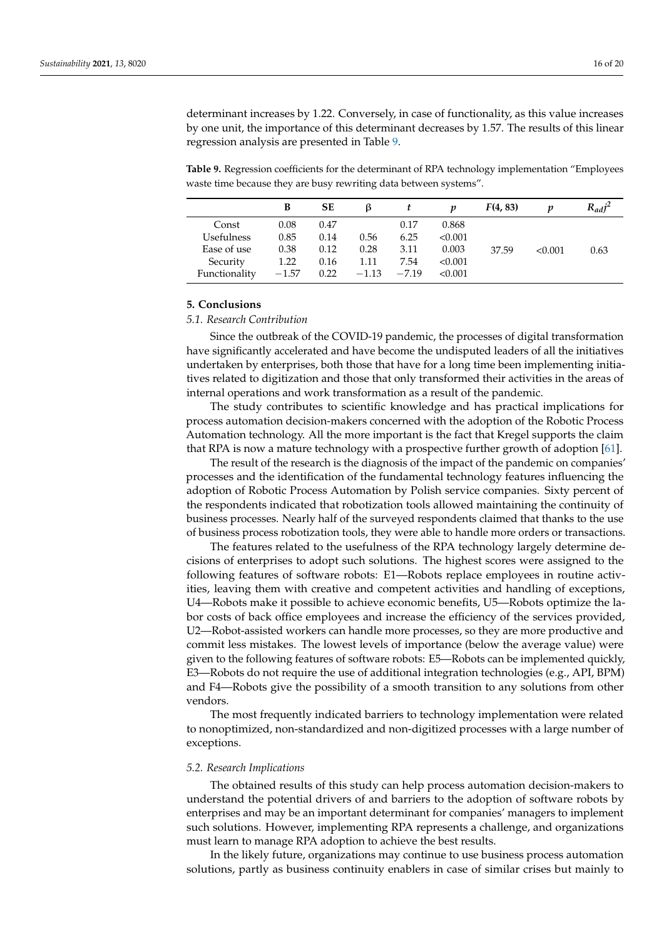determinant increases by 1.22. Conversely, in case of functionality, as this value increases by one unit, the importance of this determinant decreases by 1.57. The results of this linear regression analysis are presented in Table [9.](#page-15-0)

<span id="page-15-0"></span>**Table 9.** Regression coefficients for the determinant of RPA technology implementation "Employees waste time because they are busy rewriting data between systems".

|               | В       | SЕ   | ß       |         |         | F(4, 83) |         | $R_{ad}j^2$ |
|---------------|---------|------|---------|---------|---------|----------|---------|-------------|
| Const         | 0.08    | 0.47 |         | 0.17    | 0.868   |          |         |             |
| Usefulness    | 0.85    | 0.14 | 0.56    | 6.25    | < 0.001 |          |         |             |
| Ease of use   | 0.38    | 0.12 | 0.28    | 3.11    | 0.003   | 37.59    | < 0.001 | 0.63        |
| Security      | 1.22    | 0.16 | 1.11    | 7.54    | < 0.001 |          |         |             |
| Functionality | $-1.57$ | 0.22 | $-1.13$ | $-7.19$ | < 0.001 |          |         |             |

### **5. Conclusions**

## *5.1. Research Contribution*

Since the outbreak of the COVID-19 pandemic, the processes of digital transformation have significantly accelerated and have become the undisputed leaders of all the initiatives undertaken by enterprises, both those that have for a long time been implementing initiatives related to digitization and those that only transformed their activities in the areas of internal operations and work transformation as a result of the pandemic.

The study contributes to scientific knowledge and has practical implications for process automation decision-makers concerned with the adoption of the Robotic Process Automation technology. All the more important is the fact that Kregel supports the claim that RPA is now a mature technology with a prospective further growth of adoption [\[61\]](#page-19-5).

The result of the research is the diagnosis of the impact of the pandemic on companies' processes and the identification of the fundamental technology features influencing the adoption of Robotic Process Automation by Polish service companies. Sixty percent of the respondents indicated that robotization tools allowed maintaining the continuity of business processes. Nearly half of the surveyed respondents claimed that thanks to the use of business process robotization tools, they were able to handle more orders or transactions.

The features related to the usefulness of the RPA technology largely determine decisions of enterprises to adopt such solutions. The highest scores were assigned to the following features of software robots: E1—Robots replace employees in routine activities, leaving them with creative and competent activities and handling of exceptions, U4—Robots make it possible to achieve economic benefits, U5—Robots optimize the labor costs of back office employees and increase the efficiency of the services provided, U2—Robot-assisted workers can handle more processes, so they are more productive and commit less mistakes. The lowest levels of importance (below the average value) were given to the following features of software robots: E5—Robots can be implemented quickly, E3—Robots do not require the use of additional integration technologies (e.g., API, BPM) and F4—Robots give the possibility of a smooth transition to any solutions from other vendors.

The most frequently indicated barriers to technology implementation were related to nonoptimized, non-standardized and non-digitized processes with a large number of exceptions.

#### *5.2. Research Implications*

The obtained results of this study can help process automation decision-makers to understand the potential drivers of and barriers to the adoption of software robots by enterprises and may be an important determinant for companies' managers to implement such solutions. However, implementing RPA represents a challenge, and organizations must learn to manage RPA adoption to achieve the best results.

In the likely future, organizations may continue to use business process automation solutions, partly as business continuity enablers in case of similar crises but mainly to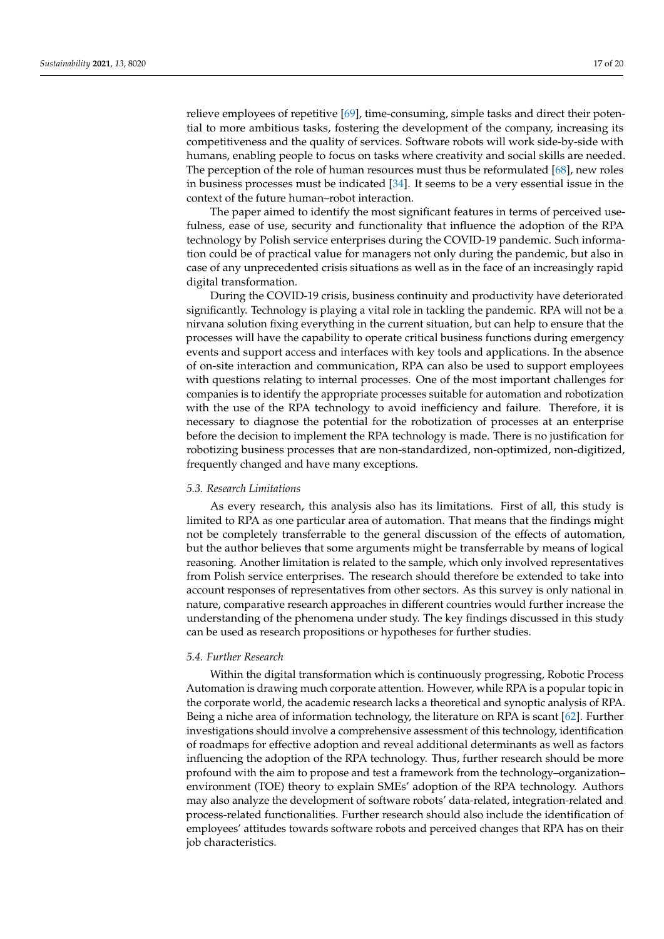relieve employees of repetitive [\[69\]](#page-19-15), time-consuming, simple tasks and direct their potential to more ambitious tasks, fostering the development of the company, increasing its competitiveness and the quality of services. Software robots will work side-by-side with humans, enabling people to focus on tasks where creativity and social skills are needed. The perception of the role of human resources must thus be reformulated [\[68\]](#page-19-12), new roles in business processes must be indicated [\[34\]](#page-18-4). It seems to be a very essential issue in the context of the future human–robot interaction.

The paper aimed to identify the most significant features in terms of perceived usefulness, ease of use, security and functionality that influence the adoption of the RPA technology by Polish service enterprises during the COVID-19 pandemic. Such information could be of practical value for managers not only during the pandemic, but also in case of any unprecedented crisis situations as well as in the face of an increasingly rapid digital transformation.

During the COVID-19 crisis, business continuity and productivity have deteriorated significantly. Technology is playing a vital role in tackling the pandemic. RPA will not be a nirvana solution fixing everything in the current situation, but can help to ensure that the processes will have the capability to operate critical business functions during emergency events and support access and interfaces with key tools and applications. In the absence of on-site interaction and communication, RPA can also be used to support employees with questions relating to internal processes. One of the most important challenges for companies is to identify the appropriate processes suitable for automation and robotization with the use of the RPA technology to avoid inefficiency and failure. Therefore, it is necessary to diagnose the potential for the robotization of processes at an enterprise before the decision to implement the RPA technology is made. There is no justification for robotizing business processes that are non-standardized, non-optimized, non-digitized, frequently changed and have many exceptions.

### *5.3. Research Limitations*

As every research, this analysis also has its limitations. First of all, this study is limited to RPA as one particular area of automation. That means that the findings might not be completely transferrable to the general discussion of the effects of automation, but the author believes that some arguments might be transferrable by means of logical reasoning. Another limitation is related to the sample, which only involved representatives from Polish service enterprises. The research should therefore be extended to take into account responses of representatives from other sectors. As this survey is only national in nature, comparative research approaches in different countries would further increase the understanding of the phenomena under study. The key findings discussed in this study can be used as research propositions or hypotheses for further studies.

## *5.4. Further Research*

Within the digital transformation which is continuously progressing, Robotic Process Automation is drawing much corporate attention. However, while RPA is a popular topic in the corporate world, the academic research lacks a theoretical and synoptic analysis of RPA. Being a niche area of information technology, the literature on RPA is scant [\[62\]](#page-19-6). Further investigations should involve a comprehensive assessment of this technology, identification of roadmaps for effective adoption and reveal additional determinants as well as factors influencing the adoption of the RPA technology. Thus, further research should be more profound with the aim to propose and test a framework from the technology–organization– environment (TOE) theory to explain SMEs' adoption of the RPA technology. Authors may also analyze the development of software robots' data-related, integration-related and process-related functionalities. Further research should also include the identification of employees' attitudes towards software robots and perceived changes that RPA has on their job characteristics.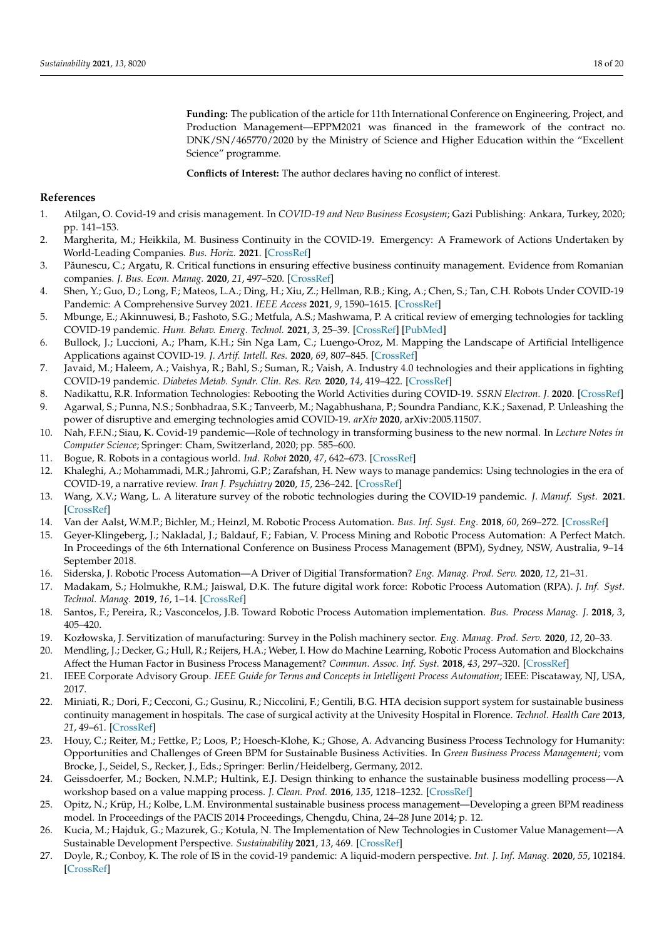**Funding:** The publication of the article for 11th International Conference on Engineering, Project, and Production Management—EPPM2021 was financed in the framework of the contract no. DNK/SN/465770/2020 by the Ministry of Science and Higher Education within the "Excellent Science" programme.

**Conflicts of Interest:** The author declares having no conflict of interest.

## <span id="page-17-24"></span>**References**

- <span id="page-17-0"></span>1. Atilgan, O. Covid-19 and crisis management. In *COVID-19 and New Business Ecosystem*; Gazi Publishing: Ankara, Turkey, 2020; pp. 141–153.
- <span id="page-17-1"></span>2. Margherita, M.; Heikkila, M. Business Continuity in the COVID-19. Emergency: A Framework of Actions Undertaken by World-Leading Companies. *Bus. Horiz.* **2021**. [\[CrossRef\]](http://doi.org/10.1016/j.bushor.2021.02.020)
- 3. Păunescu, C.; Argatu, R. Critical functions in ensuring effective business continuity management. Evidence from Romanian companies. *J. Bus. Econ. Manag.* **2020**, *21*, 497–520. [\[CrossRef\]](http://doi.org/10.3846/jbem.2020.12205)
- <span id="page-17-25"></span><span id="page-17-19"></span>4. Shen, Y.; Guo, D.; Long, F.; Mateos, L.A.; Ding, H.; Xiu, Z.; Hellman, R.B.; King, A.; Chen, S.; Tan, C.H. Robots Under COVID-19 Pandemic: A Comprehensive Survey 2021. *IEEE Access* **2021**, *9*, 1590–1615. [\[CrossRef\]](http://doi.org/10.1109/ACCESS.2020.3045792)
- <span id="page-17-5"></span>5. Mbunge, E.; Akinnuwesi, B.; Fashoto, S.G.; Metfula, A.S.; Mashwama, P. A critical review of emerging technologies for tackling COVID-19 pandemic. *Hum. Behav. Emerg. Technol.* **2021**, *3*, 25–39. [\[CrossRef\]](http://doi.org/10.1002/hbe2.237) [\[PubMed\]](http://www.ncbi.nlm.nih.gov/pubmed/33363278)
- <span id="page-17-23"></span><span id="page-17-6"></span>6. Bullock, J.; Luccioni, A.; Pham, K.H.; Sin Nga Lam, C.; Luengo-Oroz, M. Mapping the Landscape of Artificial Intelligence Applications against COVID-19. *J. Artif. Intell. Res.* **2020**, *69*, 807–845. [\[CrossRef\]](http://doi.org/10.1613/jair.1.12162)
- <span id="page-17-2"></span>7. Javaid, M.; Haleem, A.; Vaishya, R.; Bahl, S.; Suman, R.; Vaish, A. Industry 4.0 technologies and their applications in fighting COVID-19 pandemic. *Diabetes Metab. Syndr. Clin. Res. Rev.* **2020**, *14*, 419–422. [\[CrossRef\]](http://doi.org/10.1016/j.dsx.2020.04.032)
- <span id="page-17-3"></span>8. Nadikattu, R.R. Information Technologies: Rebooting the World Activities during COVID-19. *SSRN Electron. J.* **2020**. [\[CrossRef\]](http://doi.org/10.2139/ssrn.3622733)
- <span id="page-17-4"></span>9. Agarwal, S.; Punna, N.S.; Sonbhadraa, S.K.; Tanveerb, M.; Nagabhushana, P.; Soundra Pandianc, K.K.; Saxenad, P. Unleashing the power of disruptive and emerging technologies amid COVID-19. *arXiv* **2020**, arXiv:2005.11507.
- <span id="page-17-7"></span>10. Nah, F.F.N.; Siau, K. Covid-19 pandemic—Role of technology in transforming business to the new normal. In *Lecture Notes in Computer Science*; Springer: Cham, Switzerland, 2020; pp. 585–600.
- <span id="page-17-8"></span>11. Bogue, R. Robots in a contagious world. *Ind. Robot* **2020**, *47*, 642–673. [\[CrossRef\]](http://doi.org/10.1108/IR-05-2020-0101)
- <span id="page-17-9"></span>12. Khaleghi, A.; Mohammadi, M.R.; Jahromi, G.P.; Zarafshan, H. New ways to manage pandemics: Using technologies in the era of COVID-19, a narrative review. *Iran J. Psychiatry* **2020**, *15*, 236–242. [\[CrossRef\]](http://doi.org/10.18502/ijps.v15i3.3816)
- <span id="page-17-10"></span>13. Wang, X.V.; Wang, L. A literature survey of the robotic technologies during the COVID-19 pandemic. *J. Manuf. Syst.* **2021**. [\[CrossRef\]](http://doi.org/10.1016/j.jmsy.2021.02.005)
- <span id="page-17-11"></span>14. Van der Aalst, W.M.P.; Bichler, M.; Heinzl, M. Robotic Process Automation. *Bus. Inf. Syst. Eng.* **2018**, *60*, 269–272. [\[CrossRef\]](http://doi.org/10.1007/s12599-018-0542-4)
- <span id="page-17-22"></span><span id="page-17-12"></span>15. Geyer-Klingeberg, J.; Nakladal, J.; Baldauf, F.; Fabian, V. Process Mining and Robotic Process Automation: A Perfect Match. In Proceedings of the 6th International Conference on Business Process Management (BPM), Sydney, NSW, Australia, 9–14 September 2018.
- <span id="page-17-13"></span>16. Siderska, J. Robotic Process Automation—A Driver of Digitial Transformation? *Eng. Manag. Prod. Serv.* **2020**, *12*, 21–31.
- <span id="page-17-20"></span>17. Madakam, S.; Holmukhe, R.M.; Jaiswal, D.K. The future digital work force: Robotic Process Automation (RPA). *J. Inf. Syst. Technol. Manag.* **2019**, *16*, 1–14. [\[CrossRef\]](http://doi.org/10.4301/S1807-1775201916001)
- <span id="page-17-21"></span>18. Santos, F.; Pereira, R.; Vasconcelos, J.B. Toward Robotic Process Automation implementation. *Bus. Process Manag. J.* **2018**, *3*, 405–420.
- <span id="page-17-14"></span>19. Kozłowska, J. Servitization of manufacturing: Survey in the Polish machinery sector. *Eng. Manag. Prod. Serv.* **2020**, *12*, 20–33.
- <span id="page-17-15"></span>20. Mendling, J.; Decker, G.; Hull, R.; Reijers, H.A.; Weber, I. How do Machine Learning, Robotic Process Automation and Blockchains Affect the Human Factor in Business Process Management? *Commun. Assoc. Inf. Syst.* **2018**, *43*, 297–320. [\[CrossRef\]](http://doi.org/10.17705/1CAIS.04319)
- <span id="page-17-16"></span>21. IEEE Corporate Advisory Group. *IEEE Guide for Terms and Concepts in Intelligent Process Automation*; IEEE: Piscataway, NJ, USA, 2017.
- <span id="page-17-17"></span>22. Miniati, R.; Dori, F.; Cecconi, G.; Gusinu, R.; Niccolini, F.; Gentili, B.G. HTA decision support system for sustainable business continuity management in hospitals. The case of surgical activity at the Univesity Hospital in Florence. *Technol. Health Care* **2013**, *21*, 49–61. [\[CrossRef\]](http://doi.org/10.3233/THC-120709)
- 23. Houy, C.; Reiter, M.; Fettke, P.; Loos, P.; Hoesch-Klohe, K.; Ghose, A. Advancing Business Process Technology for Humanity: Opportunities and Challenges of Green BPM for Sustainable Business Activities. In *Green Business Process Management*; vom Brocke, J., Seidel, S., Recker, J., Eds.; Springer: Berlin/Heidelberg, Germany, 2012.
- 24. Geissdoerfer, M.; Bocken, N.M.P.; Hultink, E.J. Design thinking to enhance the sustainable business modelling process—A workshop based on a value mapping process. *J. Clean. Prod.* **2016**, *135*, 1218–1232. [\[CrossRef\]](http://doi.org/10.1016/j.jclepro.2016.07.020)
- 25. Opitz, N.; Krüp, H.; Kolbe, L.M. Environmental sustainable business process management—Developing a green BPM readiness model. In Proceedings of the PACIS 2014 Proceedings, Chengdu, China, 24–28 June 2014; p. 12.
- 26. Kucia, M.; Hajduk, G.; Mazurek, G.; Kotula, N. The Implementation of New Technologies in Customer Value Management—A Sustainable Development Perspective. *Sustainability* **2021**, *13*, 469. [\[CrossRef\]](http://doi.org/10.3390/su13020469)
- <span id="page-17-18"></span>27. Doyle, R.; Conboy, K. The role of IS in the covid-19 pandemic: A liquid-modern perspective. *Int. J. Inf. Manag.* **2020**, *55*, 102184. [\[CrossRef\]](http://doi.org/10.1016/j.ijinfomgt.2020.102184)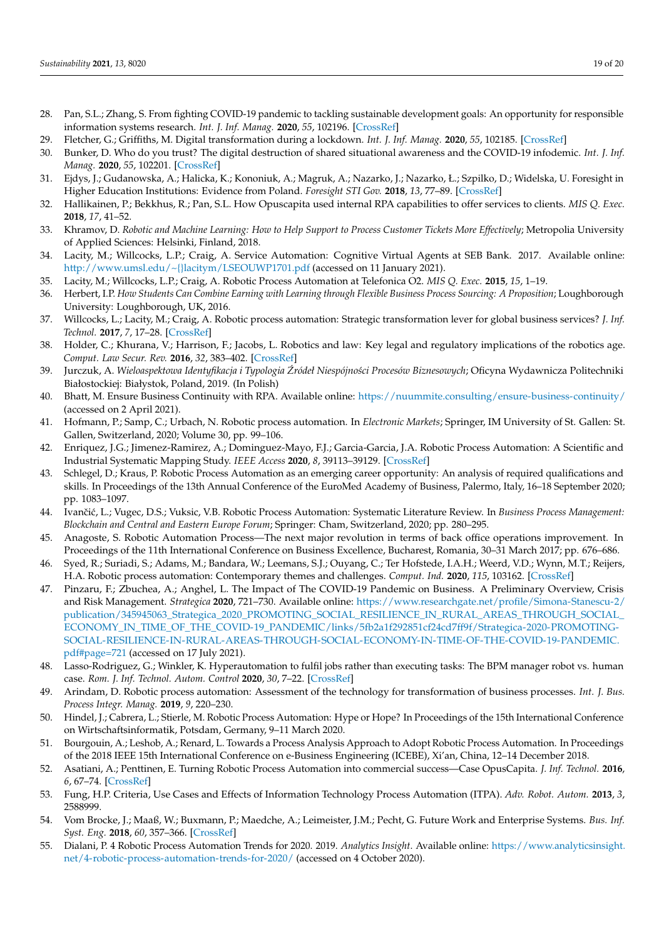- <span id="page-18-0"></span>28. Pan, S.L.; Zhang, S. From fighting COVID-19 pandemic to tackling sustainable development goals: An opportunity for responsible information systems research. *Int. J. Inf. Manag.* **2020**, *55*, 102196. [\[CrossRef\]](http://doi.org/10.1016/j.ijinfomgt.2020.102196)
- 29. Fletcher, G.; Griffiths, M. Digital transformation during a lockdown. *Int. J. Inf. Manag.* **2020**, *55*, 102185. [\[CrossRef\]](http://doi.org/10.1016/j.ijinfomgt.2020.102185)
- 30. Bunker, D. Who do you trust? The digital destruction of shared situational awareness and the COVID-19 infodemic. *Int. J. Inf. Manag.* **2020**, *55*, 102201. [\[CrossRef\]](http://doi.org/10.1016/j.ijinfomgt.2020.102201)
- <span id="page-18-1"></span>31. Ejdys, J.; Gudanowska, A.; Halicka, K.; Kononiuk, A.; Magruk, A.; Nazarko, J.; Nazarko, Ł.; Szpilko, D.; Widelska, U. Foresight in Higher Education Institutions: Evidence from Poland. *Foresight STI Gov.* **2018**, *13*, 77–89. [\[CrossRef\]](http://doi.org/10.17323/2500-2597.2019.1.77.89)
- <span id="page-18-2"></span>32. Hallikainen, P.; Bekkhus, R.; Pan, S.L. How Opuscapita used internal RPA capabilities to offer services to clients. *MIS Q. Exec.* **2018**, *17*, 41–52.
- <span id="page-18-3"></span>33. Khramov, D. *Robotic and Machine Learning: How to Help Support to Process Customer Tickets More Effectively*; Metropolia University of Applied Sciences: Helsinki, Finland, 2018.
- <span id="page-18-4"></span>34. Lacity, M.; Willcocks, L.P.; Craig, A. Service Automation: Cognitive Virtual Agents at SEB Bank. 2017. Available online: <http://www.umsl.edu/~{}lacitym/LSEOUWP1701.pdf> (accessed on 11 January 2021).
- <span id="page-18-5"></span>35. Lacity, M.; Willcocks, L.P.; Craig, A. Robotic Process Automation at Telefonica O2. *MIS Q. Exec.* **2015**, *15*, 1–19.
- <span id="page-18-6"></span>36. Herbert, I.P. *How Students Can Combine Earning with Learning through Flexible Business Process Sourcing: A Proposition*; Loughborough University: Loughborough, UK, 2016.
- <span id="page-18-7"></span>37. Willcocks, L.; Lacity, M.; Craig, A. Robotic process automation: Strategic transformation lever for global business services? *J. Inf. Technol.* **2017**, *7*, 17–28. [\[CrossRef\]](http://doi.org/10.1057/s41266-016-0016-9)
- <span id="page-18-8"></span>38. Holder, C.; Khurana, V.; Harrison, F.; Jacobs, L. Robotics and law: Key legal and regulatory implications of the robotics age. *Comput. Law Secur. Rev.* **2016**, *32*, 383–402. [\[CrossRef\]](http://doi.org/10.1016/j.clsr.2016.03.001)
- <span id="page-18-9"></span>39. Jurczuk, A. *Wieloaspektowa Identyfikacja i Typologia Zr´ ódeł Niespójno´sci Procesów Biznesowych*; Oficyna Wydawnicza Politechniki Białostockiej: Białystok, Poland, 2019. (In Polish)
- <span id="page-18-10"></span>40. Bhatt, M. Ensure Business Continuity with RPA. Available online: <https://nuummite.consulting/ensure-business-continuity/> (accessed on 2 April 2021).
- <span id="page-18-11"></span>41. Hofmann, P.; Samp, C.; Urbach, N. Robotic process automation. In *Electronic Markets*; Springer, IM University of St. Gallen: St. Gallen, Switzerland, 2020; Volume 30, pp. 99–106.
- <span id="page-18-21"></span>42. Enriquez, J.G.; Jimenez-Ramirez, A.; Dominguez-Mayo, F.J.; Garcia-Garcia, J.A. Robotic Process Automation: A Scientific and Industrial Systematic Mapping Study. *IEEE Access* **2020**, *8*, 39113–39129. [\[CrossRef\]](http://doi.org/10.1109/ACCESS.2020.2974934)
- <span id="page-18-24"></span>43. Schlegel, D.; Kraus, P. Robotic Process Automation as an emerging career opportunity: An analysis of required qualifications and skills. In Proceedings of the 13th Annual Conference of the EuroMed Academy of Business, Palermo, Italy, 16–18 September 2020; pp. 1083–1097.
- <span id="page-18-23"></span>44. Ivančić, L.; Vugec, D.S.; Vuksic, V.B. Robotic Process Automation: Systematic Literature Review. In *Business Process Management*: *Blockchain and Central and Eastern Europe Forum*; Springer: Cham, Switzerland, 2020; pp. 280–295.
- <span id="page-18-25"></span><span id="page-18-22"></span>45. Anagoste, S. Robotic Automation Process—The next major revolution in terms of back office operations improvement. In Proceedings of the 11th International Conference on Business Excellence, Bucharest, Romania, 30–31 March 2017; pp. 676–686.
- <span id="page-18-20"></span>46. Syed, R.; Suriadi, S.; Adams, M.; Bandara, W.; Leemans, S.J.; Ouyang, C.; Ter Hofstede, I.A.H.; Weerd, V.D.; Wynn, M.T.; Reijers, H.A. Robotic process automation: Contemporary themes and challenges. *Comput. Ind.* **2020**, *115*, 103162. [\[CrossRef\]](http://doi.org/10.1016/j.compind.2019.103162)
- <span id="page-18-12"></span>47. Pinzaru, F.; Zbuchea, A.; Anghel, L. The Impact of The COVID-19 Pandemic on Business. A Preliminary Overview, Crisis and Risk Management. *Strategica* **2020**, 721–730. Available online: [https://www.researchgate.net/profile/Simona-Stanescu-2/](https://www.researchgate.net/profile/Simona-Stanescu-2/publication/345945063_Strategica_2020_PROMOTING_SOCIAL_RESILIENCE_IN_RURAL_AREAS_THROUGH_SOCIAL_ECONOMY_IN_TIME_OF_THE_COVID-19_PANDEMIC/links/5fb2a1f292851cf24cd7ff9f/Strategica-2020-PROMOTING-SOCIAL-RESILIENCE-IN-RURAL-AREAS-THROUGH-SOCIAL-ECONOMY-IN-TIME-OF-THE-COVID-19-PANDEMIC.pdf#page=721) [publication/345945063\\_Strategica\\_2020\\_PROMOTING\\_SOCIAL\\_RESILIENCE\\_IN\\_RURAL\\_AREAS\\_THROUGH\\_SOCIAL\\_](https://www.researchgate.net/profile/Simona-Stanescu-2/publication/345945063_Strategica_2020_PROMOTING_SOCIAL_RESILIENCE_IN_RURAL_AREAS_THROUGH_SOCIAL_ECONOMY_IN_TIME_OF_THE_COVID-19_PANDEMIC/links/5fb2a1f292851cf24cd7ff9f/Strategica-2020-PROMOTING-SOCIAL-RESILIENCE-IN-RURAL-AREAS-THROUGH-SOCIAL-ECONOMY-IN-TIME-OF-THE-COVID-19-PANDEMIC.pdf#page=721) [ECONOMY\\_IN\\_TIME\\_OF\\_THE\\_COVID-19\\_PANDEMIC/links/5fb2a1f292851cf24cd7ff9f/Strategica-2020-PROMOTING-](https://www.researchgate.net/profile/Simona-Stanescu-2/publication/345945063_Strategica_2020_PROMOTING_SOCIAL_RESILIENCE_IN_RURAL_AREAS_THROUGH_SOCIAL_ECONOMY_IN_TIME_OF_THE_COVID-19_PANDEMIC/links/5fb2a1f292851cf24cd7ff9f/Strategica-2020-PROMOTING-SOCIAL-RESILIENCE-IN-RURAL-AREAS-THROUGH-SOCIAL-ECONOMY-IN-TIME-OF-THE-COVID-19-PANDEMIC.pdf#page=721)[SOCIAL-RESILIENCE-IN-RURAL-AREAS-THROUGH-SOCIAL-ECONOMY-IN-TIME-OF-THE-COVID-19-PANDEMIC.](https://www.researchgate.net/profile/Simona-Stanescu-2/publication/345945063_Strategica_2020_PROMOTING_SOCIAL_RESILIENCE_IN_RURAL_AREAS_THROUGH_SOCIAL_ECONOMY_IN_TIME_OF_THE_COVID-19_PANDEMIC/links/5fb2a1f292851cf24cd7ff9f/Strategica-2020-PROMOTING-SOCIAL-RESILIENCE-IN-RURAL-AREAS-THROUGH-SOCIAL-ECONOMY-IN-TIME-OF-THE-COVID-19-PANDEMIC.pdf#page=721) [pdf#page=721](https://www.researchgate.net/profile/Simona-Stanescu-2/publication/345945063_Strategica_2020_PROMOTING_SOCIAL_RESILIENCE_IN_RURAL_AREAS_THROUGH_SOCIAL_ECONOMY_IN_TIME_OF_THE_COVID-19_PANDEMIC/links/5fb2a1f292851cf24cd7ff9f/Strategica-2020-PROMOTING-SOCIAL-RESILIENCE-IN-RURAL-AREAS-THROUGH-SOCIAL-ECONOMY-IN-TIME-OF-THE-COVID-19-PANDEMIC.pdf#page=721) (accessed on 17 July 2021).
- <span id="page-18-13"></span>48. Lasso-Rodriguez, G.; Winkler, K. Hyperautomation to fulfil jobs rather than executing tasks: The BPM manager robot vs. human case. *Rom. J. Inf. Technol. Autom. Control* **2020**, *30*, 7–22. [\[CrossRef\]](http://doi.org/10.33436/v30i3y202001)
- <span id="page-18-14"></span>49. Arindam, D. Robotic process automation: Assessment of the technology for transformation of business processes. *Int. J. Bus. Process Integr. Manag.* **2019**, *9*, 220–230.
- <span id="page-18-15"></span>50. Hindel, J.; Cabrera, L.; Stierle, M. Robotic Process Automation: Hype or Hope? In Proceedings of the 15th International Conference on Wirtschaftsinformatik, Potsdam, Germany, 9–11 March 2020.
- <span id="page-18-16"></span>51. Bourgouin, A.; Leshob, A.; Renard, L. Towards a Process Analysis Approach to Adopt Robotic Process Automation. In Proceedings of the 2018 IEEE 15th International Conference on e-Business Engineering (ICEBE), Xi'an, China, 12–14 December 2018.
- <span id="page-18-17"></span>52. Asatiani, A.; Penttinen, E. Turning Robotic Process Automation into commercial success—Case OpusCapita. *J. Inf. Technol.* **2016**, *6*, 67–74. [\[CrossRef\]](http://doi.org/10.1057/jittc.2016.5)
- 53. Fung, H.P. Criteria, Use Cases and Effects of Information Technology Process Automation (ITPA). *Adv. Robot. Autom.* **2013**, *3*, 2588999.
- <span id="page-18-18"></span>54. Vom Brocke, J.; Maaß, W.; Buxmann, P.; Maedche, A.; Leimeister, J.M.; Pecht, G. Future Work and Enterprise Systems. *Bus. Inf. Syst. Eng.* **2018**, *60*, 357–366. [\[CrossRef\]](http://doi.org/10.1007/s12599-018-0544-2)
- <span id="page-18-19"></span>55. Dialani, P. 4 Robotic Process Automation Trends for 2020. 2019. *Analytics Insight*. Available online: [https://www.analyticsinsight.](https://www.analyticsinsight.net/4-robotic-process-automation-trends-for-2020/) [net/4-robotic-process-automation-trends-for-2020/](https://www.analyticsinsight.net/4-robotic-process-automation-trends-for-2020/) (accessed on 4 October 2020).